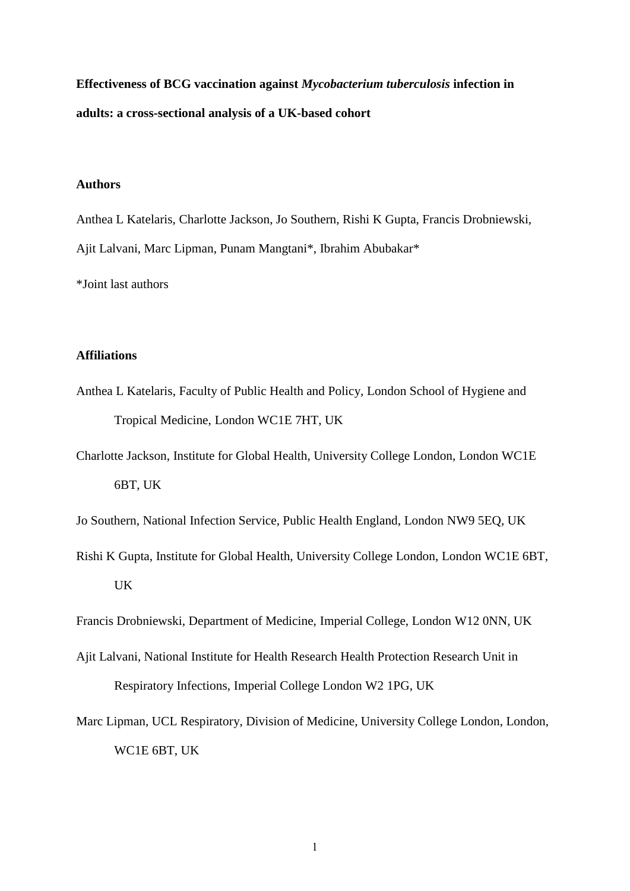**Effectiveness of BCG vaccination against** *Mycobacterium tuberculosis* **infection in adults: a cross-sectional analysis of a UK-based cohort**

#### **Authors**

Anthea L Katelaris, Charlotte Jackson, Jo Southern, Rishi K Gupta, Francis Drobniewski, Ajit Lalvani, Marc Lipman, Punam Mangtani\*, Ibrahim Abubakar\*

\*Joint last authors

## **Affiliations**

- Anthea L Katelaris, Faculty of Public Health and Policy, London School of Hygiene and Tropical Medicine, London WC1E 7HT, UK
- Charlotte Jackson, Institute for Global Health, University College London, London WC1E 6BT, UK

Jo Southern, National Infection Service, Public Health England, London NW9 5EQ, UK

Rishi K Gupta, Institute for Global Health, University College London, London WC1E 6BT, UK

Francis Drobniewski, Department of Medicine, Imperial College, London W12 0NN, UK

- Ajit Lalvani, National Institute for Health Research Health Protection Research Unit in Respiratory Infections, Imperial College London W2 1PG, UK
- Marc Lipman, UCL Respiratory, Division of Medicine, University College London, London, WC1E 6BT, UK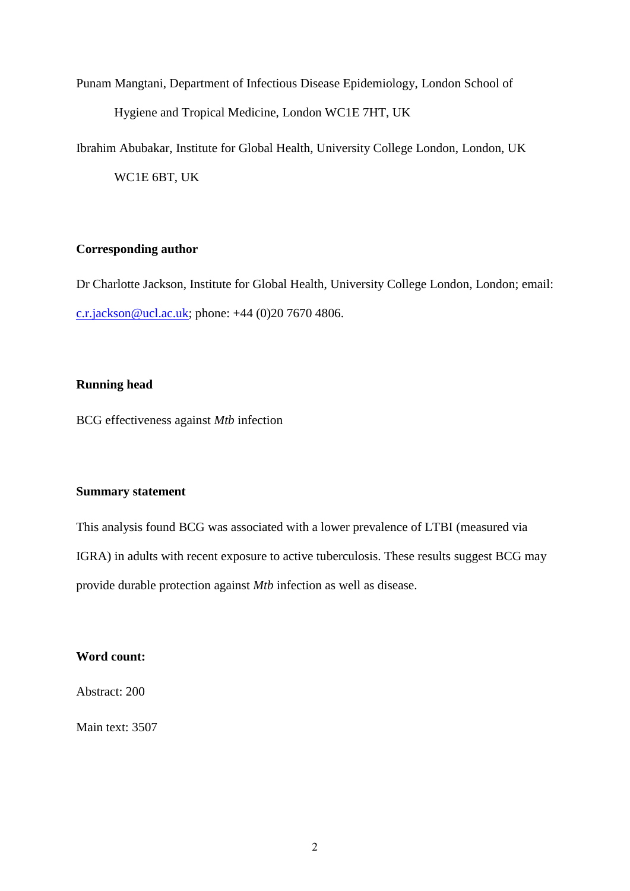Punam Mangtani, Department of Infectious Disease Epidemiology, London School of Hygiene and Tropical Medicine, London WC1E 7HT, UK

Ibrahim Abubakar, Institute for Global Health, University College London, London, UK

WC1E 6BT, UK

#### **Corresponding author**

Dr Charlotte Jackson, Institute for Global Health, University College London, London; email: [c.r.jackson@ucl.ac.uk;](mailto:c.r.jackson@ucl.ac.uk) phone: +44 (0)20 7670 4806.

## **Running head**

BCG effectiveness against *Mtb* infection

## **Summary statement**

This analysis found BCG was associated with a lower prevalence of LTBI (measured via IGRA) in adults with recent exposure to active tuberculosis. These results suggest BCG may provide durable protection against *Mtb* infection as well as disease.

## **Word count:**

Abstract: 200

Main text: 3507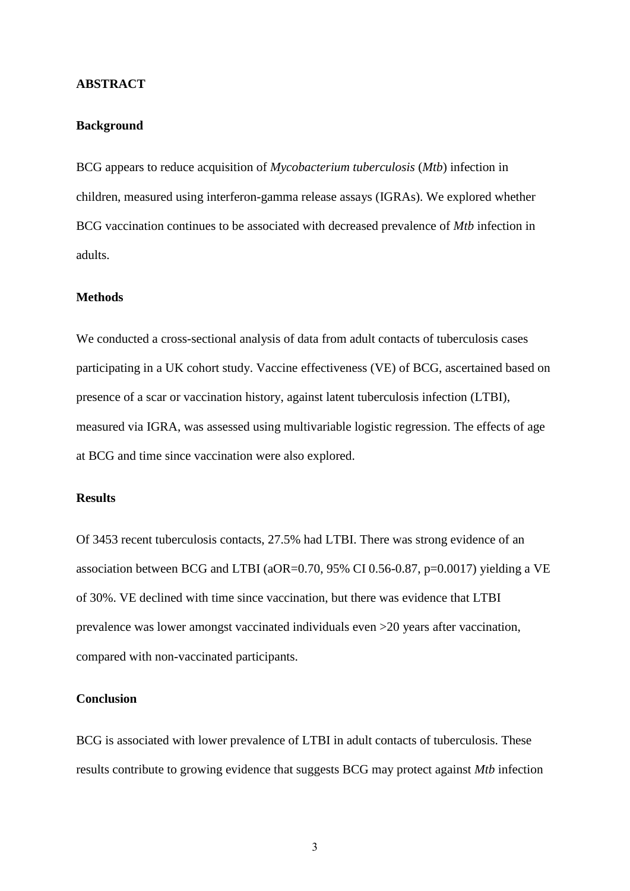#### **ABSTRACT**

#### **Background**

BCG appears to reduce acquisition of *Mycobacterium tuberculosis* (*Mtb*) infection in children, measured using interferon-gamma release assays (IGRAs). We explored whether BCG vaccination continues to be associated with decreased prevalence of *Mtb* infection in adults.

#### **Methods**

We conducted a cross-sectional analysis of data from adult contacts of tuberculosis cases participating in a UK cohort study. Vaccine effectiveness (VE) of BCG, ascertained based on presence of a scar or vaccination history, against latent tuberculosis infection (LTBI), measured via IGRA, was assessed using multivariable logistic regression. The effects of age at BCG and time since vaccination were also explored.

#### **Results**

Of 3453 recent tuberculosis contacts, 27.5% had LTBI. There was strong evidence of an association between BCG and LTBI (aOR=0.70, 95% CI 0.56-0.87, p=0.0017) yielding a VE of 30%. VE declined with time since vaccination, but there was evidence that LTBI prevalence was lower amongst vaccinated individuals even >20 years after vaccination, compared with non-vaccinated participants.

#### **Conclusion**

BCG is associated with lower prevalence of LTBI in adult contacts of tuberculosis. These results contribute to growing evidence that suggests BCG may protect against *Mtb* infection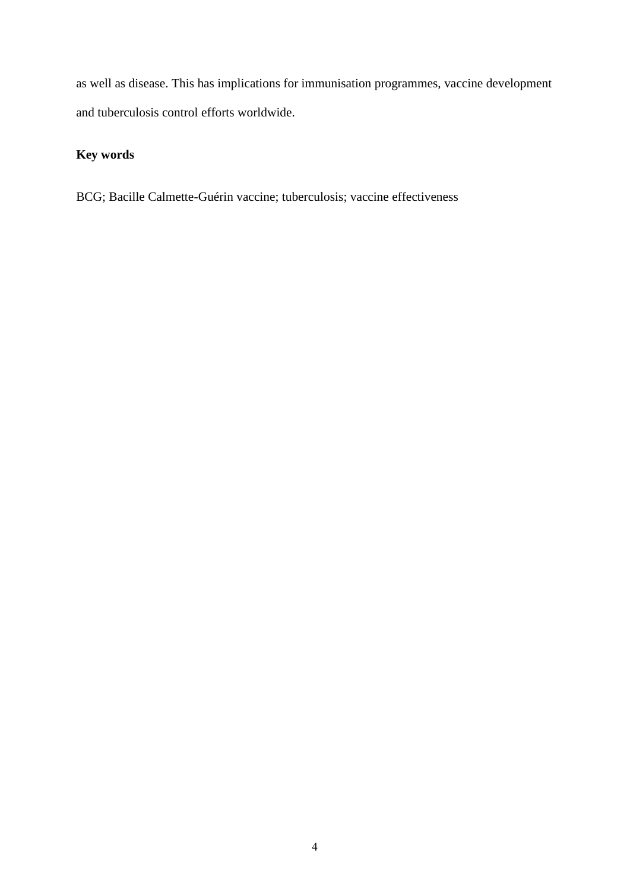as well as disease. This has implications for immunisation programmes, vaccine development and tuberculosis control efforts worldwide.

## **Key words**

BCG; Bacille Calmette-Guérin vaccine; tuberculosis; vaccine effectiveness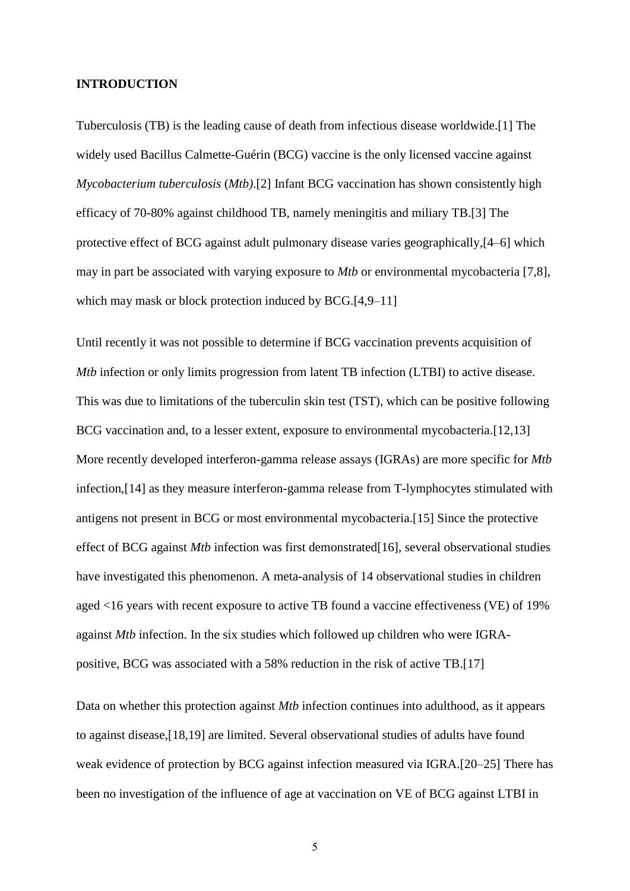#### **INTRODUCTION**

Tuberculosis (TB) is the leading cause of death from infectious disease worldwide.[1] The widely used Bacillus Calmette-Guérin (BCG) vaccine is the only licensed vaccine against *Mycobacterium tuberculosis* (*Mtb)*.[2] Infant BCG vaccination has shown consistently high efficacy of 70-80% against childhood TB, namely meningitis and miliary TB.[3] The protective effect of BCG against adult pulmonary disease varies geographically,[4–6] which may in part be associated with varying exposure to *Mtb* or environmental mycobacteria [7,8], which may mask or block protection induced by BCG.[4,9–11]

Until recently it was not possible to determine if BCG vaccination prevents acquisition of *Mtb* infection or only limits progression from latent TB infection (LTBI) to active disease. This was due to limitations of the tuberculin skin test (TST), which can be positive following BCG vaccination and, to a lesser extent, exposure to environmental mycobacteria. [12,13] More recently developed interferon-gamma release assays (IGRAs) are more specific for *Mtb* infection,[14] as they measure interferon-gamma release from T-lymphocytes stimulated with antigens not present in BCG or most environmental mycobacteria.[15] Since the protective effect of BCG against *Mtb* infection was first demonstrated[16], several observational studies have investigated this phenomenon. A meta-analysis of 14 observational studies in children aged <16 years with recent exposure to active TB found a vaccine effectiveness (VE) of 19% against *Mtb* infection. In the six studies which followed up children who were IGRApositive, BCG was associated with a 58% reduction in the risk of active TB.[17]

Data on whether this protection against *Mtb* infection continues into adulthood, as it appears to against disease,[18,19] are limited. Several observational studies of adults have found weak evidence of protection by BCG against infection measured via IGRA.[20–25] There has been no investigation of the influence of age at vaccination on VE of BCG against LTBI in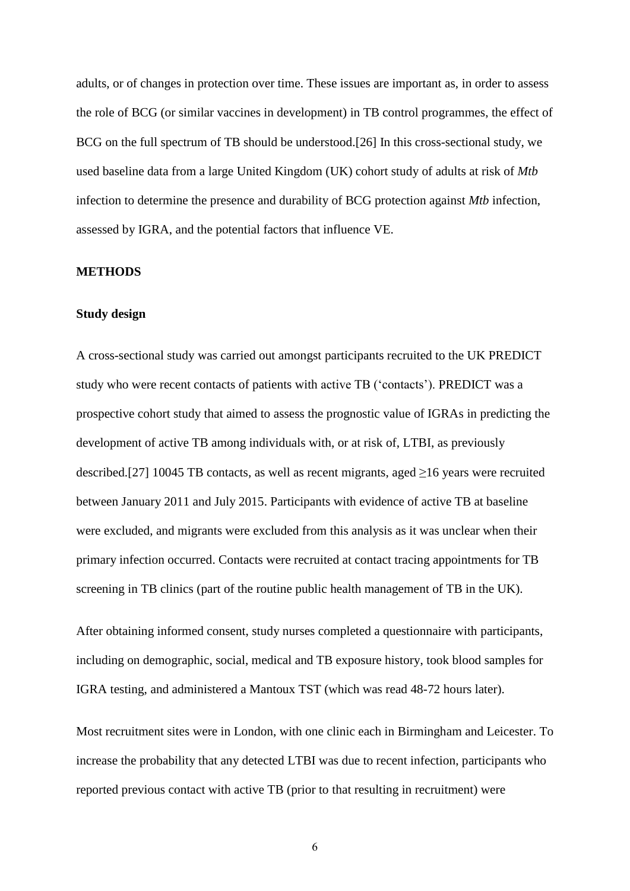adults, or of changes in protection over time. These issues are important as, in order to assess the role of BCG (or similar vaccines in development) in TB control programmes, the effect of BCG on the full spectrum of TB should be understood.[26] In this cross-sectional study, we used baseline data from a large United Kingdom (UK) cohort study of adults at risk of *Mtb*  infection to determine the presence and durability of BCG protection against *Mtb* infection, assessed by IGRA, and the potential factors that influence VE.

#### **METHODS**

#### **Study design**

A cross-sectional study was carried out amongst participants recruited to the UK PREDICT study who were recent contacts of patients with active TB ('contacts'). PREDICT was a prospective cohort study that aimed to assess the prognostic value of IGRAs in predicting the development of active TB among individuals with, or at risk of, LTBI, as previously described.[27] 10045 TB contacts, as well as recent migrants, aged  $\geq$ 16 years were recruited between January 2011 and July 2015. Participants with evidence of active TB at baseline were excluded, and migrants were excluded from this analysis as it was unclear when their primary infection occurred. Contacts were recruited at contact tracing appointments for TB screening in TB clinics (part of the routine public health management of TB in the UK).

After obtaining informed consent, study nurses completed a questionnaire with participants, including on demographic, social, medical and TB exposure history, took blood samples for IGRA testing, and administered a Mantoux TST (which was read 48-72 hours later).

Most recruitment sites were in London, with one clinic each in Birmingham and Leicester. To increase the probability that any detected LTBI was due to recent infection, participants who reported previous contact with active TB (prior to that resulting in recruitment) were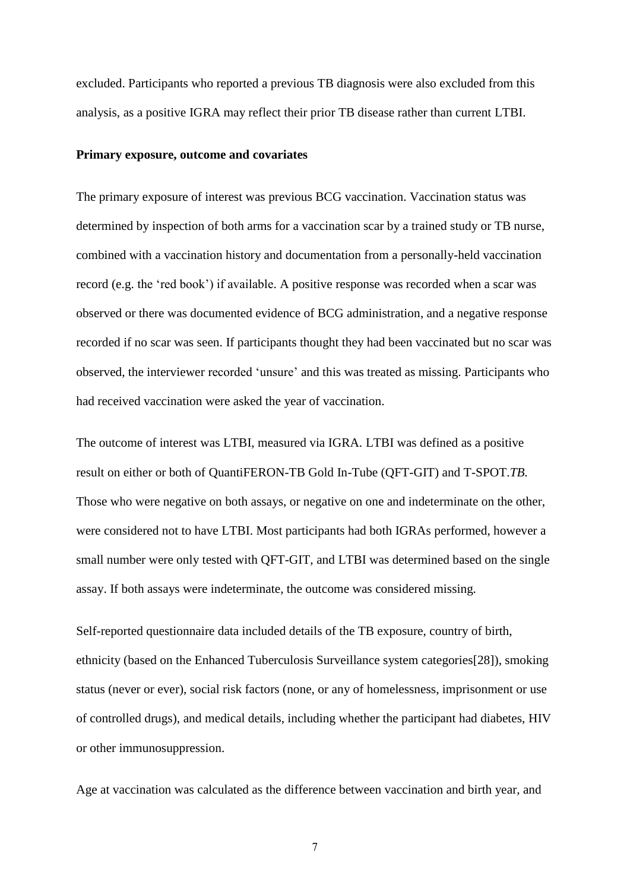excluded. Participants who reported a previous TB diagnosis were also excluded from this analysis, as a positive IGRA may reflect their prior TB disease rather than current LTBI.

#### **Primary exposure, outcome and covariates**

The primary exposure of interest was previous BCG vaccination. Vaccination status was determined by inspection of both arms for a vaccination scar by a trained study or TB nurse, combined with a vaccination history and documentation from a personally-held vaccination record (e.g. the 'red book') if available. A positive response was recorded when a scar was observed or there was documented evidence of BCG administration, and a negative response recorded if no scar was seen. If participants thought they had been vaccinated but no scar was observed, the interviewer recorded 'unsure' and this was treated as missing. Participants who had received vaccination were asked the year of vaccination.

The outcome of interest was LTBI, measured via IGRA. LTBI was defined as a positive result on either or both of QuantiFERON-TB Gold In-Tube (QFT-GIT) and T-SPOT.*TB.* Those who were negative on both assays, or negative on one and indeterminate on the other, were considered not to have LTBI. Most participants had both IGRAs performed, however a small number were only tested with QFT-GIT, and LTBI was determined based on the single assay. If both assays were indeterminate, the outcome was considered missing.

Self-reported questionnaire data included details of the TB exposure, country of birth, ethnicity (based on the Enhanced Tuberculosis Surveillance system categories[28]), smoking status (never or ever), social risk factors (none, or any of homelessness, imprisonment or use of controlled drugs), and medical details, including whether the participant had diabetes, HIV or other immunosuppression.

Age at vaccination was calculated as the difference between vaccination and birth year, and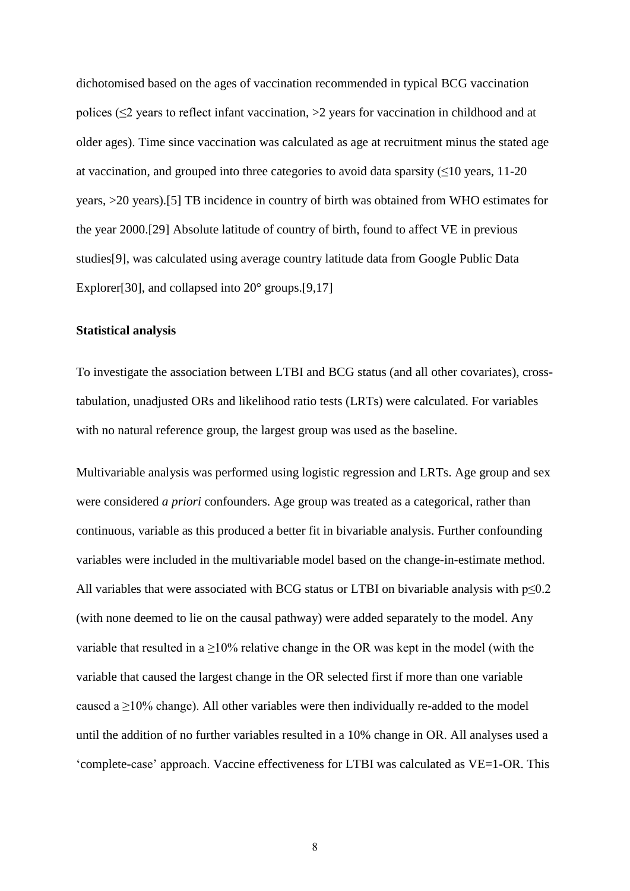dichotomised based on the ages of vaccination recommended in typical BCG vaccination polices (≤2 years to reflect infant vaccination, >2 years for vaccination in childhood and at older ages). Time since vaccination was calculated as age at recruitment minus the stated age at vaccination, and grouped into three categories to avoid data sparsity  $(\leq 10$  years, 11-20 years, >20 years).[5] TB incidence in country of birth was obtained from WHO estimates for the year 2000.[29] Absolute latitude of country of birth, found to affect VE in previous studies[9], was calculated using average country latitude data from Google Public Data Explorer<sup>[30]</sup>, and collapsed into 20<sup>°</sup> groups.<sup>[9,17]</sup>

#### **Statistical analysis**

To investigate the association between LTBI and BCG status (and all other covariates), crosstabulation, unadjusted ORs and likelihood ratio tests (LRTs) were calculated. For variables with no natural reference group, the largest group was used as the baseline.

Multivariable analysis was performed using logistic regression and LRTs. Age group and sex were considered *a priori* confounders. Age group was treated as a categorical, rather than continuous, variable as this produced a better fit in bivariable analysis. Further confounding variables were included in the multivariable model based on the change-in-estimate method. All variables that were associated with BCG status or LTBI on bivariable analysis with  $p \le 0.2$ (with none deemed to lie on the causal pathway) were added separately to the model. Any variable that resulted in a  $\geq$ 10% relative change in the OR was kept in the model (with the variable that caused the largest change in the OR selected first if more than one variable caused a  $\geq$ 10% change). All other variables were then individually re-added to the model until the addition of no further variables resulted in a 10% change in OR. All analyses used a 'complete-case' approach. Vaccine effectiveness for LTBI was calculated as VE=1-OR. This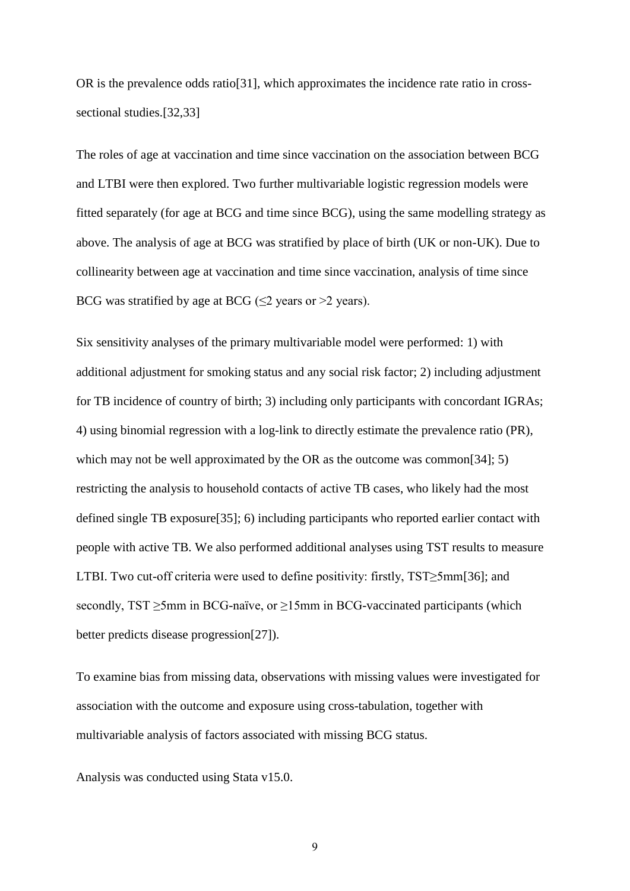OR is the prevalence odds ratio[31], which approximates the incidence rate ratio in crosssectional studies.[32,33]

The roles of age at vaccination and time since vaccination on the association between BCG and LTBI were then explored. Two further multivariable logistic regression models were fitted separately (for age at BCG and time since BCG), using the same modelling strategy as above. The analysis of age at BCG was stratified by place of birth (UK or non-UK). Due to collinearity between age at vaccination and time since vaccination, analysis of time since BCG was stratified by age at BCG ( $\leq$ 2 years or >2 years).

Six sensitivity analyses of the primary multivariable model were performed: 1) with additional adjustment for smoking status and any social risk factor; 2) including adjustment for TB incidence of country of birth; 3) including only participants with concordant IGRAs; 4) using binomial regression with a log-link to directly estimate the prevalence ratio (PR), which may not be well approximated by the OR as the outcome was common[34]; 5) restricting the analysis to household contacts of active TB cases, who likely had the most defined single TB exposure[35]; 6) including participants who reported earlier contact with people with active TB. We also performed additional analyses using TST results to measure LTBI. Two cut-off criteria were used to define positivity: firstly, TST≥5mm[36]; and secondly, TST ≥5mm in BCG-naïve, or ≥15mm in BCG-vaccinated participants (which better predicts disease progression[27]).

To examine bias from missing data, observations with missing values were investigated for association with the outcome and exposure using cross-tabulation, together with multivariable analysis of factors associated with missing BCG status.

Analysis was conducted using Stata v15.0.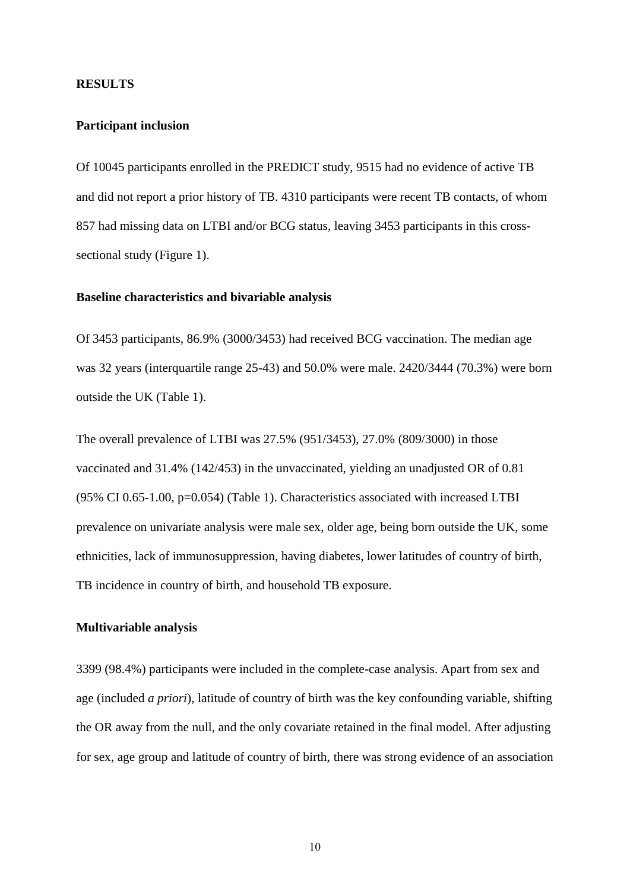#### **RESULTS**

#### **Participant inclusion**

Of 10045 participants enrolled in the PREDICT study, 9515 had no evidence of active TB and did not report a prior history of TB. 4310 participants were recent TB contacts, of whom 857 had missing data on LTBI and/or BCG status, leaving 3453 participants in this crosssectional study (Figure 1).

#### **Baseline characteristics and bivariable analysis**

Of 3453 participants, 86.9% (3000/3453) had received BCG vaccination. The median age was 32 years (interquartile range 25-43) and 50.0% were male. 2420/3444 (70.3%) were born outside the UK (Table 1).

The overall prevalence of LTBI was 27.5% (951/3453), 27.0% (809/3000) in those vaccinated and 31.4% (142/453) in the unvaccinated, yielding an unadjusted OR of 0.81 (95% CI 0.65-1.00, p=0.054) (Table 1). Characteristics associated with increased LTBI prevalence on univariate analysis were male sex, older age, being born outside the UK, some ethnicities, lack of immunosuppression, having diabetes, lower latitudes of country of birth, TB incidence in country of birth, and household TB exposure.

#### **Multivariable analysis**

3399 (98.4%) participants were included in the complete-case analysis. Apart from sex and age (included *a priori*), latitude of country of birth was the key confounding variable, shifting the OR away from the null, and the only covariate retained in the final model. After adjusting for sex, age group and latitude of country of birth, there was strong evidence of an association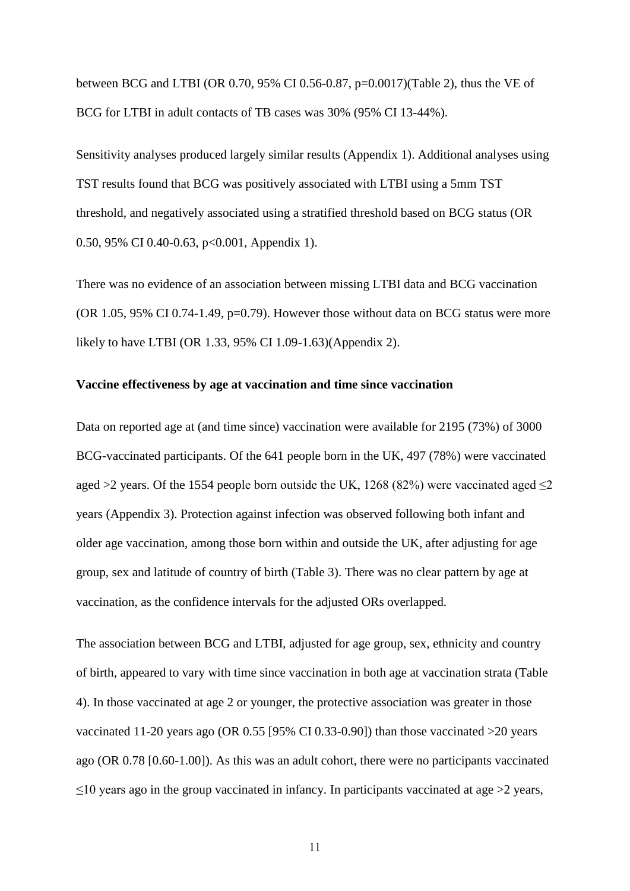between BCG and LTBI (OR 0.70, 95% CI 0.56-0.87, p=0.0017)(Table 2), thus the VE of BCG for LTBI in adult contacts of TB cases was 30% (95% CI 13-44%).

Sensitivity analyses produced largely similar results (Appendix 1). Additional analyses using TST results found that BCG was positively associated with LTBI using a 5mm TST threshold, and negatively associated using a stratified threshold based on BCG status (OR 0.50, 95% CI 0.40-0.63, p<0.001, Appendix 1).

There was no evidence of an association between missing LTBI data and BCG vaccination (OR  $1.05$ , 95% CI 0.74-1.49, p=0.79). However those without data on BCG status were more likely to have LTBI (OR 1.33, 95% CI 1.09-1.63)(Appendix 2).

#### **Vaccine effectiveness by age at vaccination and time since vaccination**

Data on reported age at (and time since) vaccination were available for 2195 (73%) of 3000 BCG-vaccinated participants. Of the 641 people born in the UK, 497 (78%) were vaccinated aged >2 years. Of the 1554 people born outside the UK, 1268 (82%) were vaccinated aged  $\leq$ 2 years (Appendix 3). Protection against infection was observed following both infant and older age vaccination, among those born within and outside the UK, after adjusting for age group, sex and latitude of country of birth (Table 3). There was no clear pattern by age at vaccination, as the confidence intervals for the adjusted ORs overlapped.

The association between BCG and LTBI, adjusted for age group, sex, ethnicity and country of birth, appeared to vary with time since vaccination in both age at vaccination strata (Table 4). In those vaccinated at age 2 or younger, the protective association was greater in those vaccinated 11-20 years ago (OR 0.55 [95% CI 0.33-0.90]) than those vaccinated >20 years ago (OR 0.78 [0.60-1.00]). As this was an adult cohort, there were no participants vaccinated  $\leq$ 10 years ago in the group vaccinated in infancy. In participants vaccinated at age >2 years,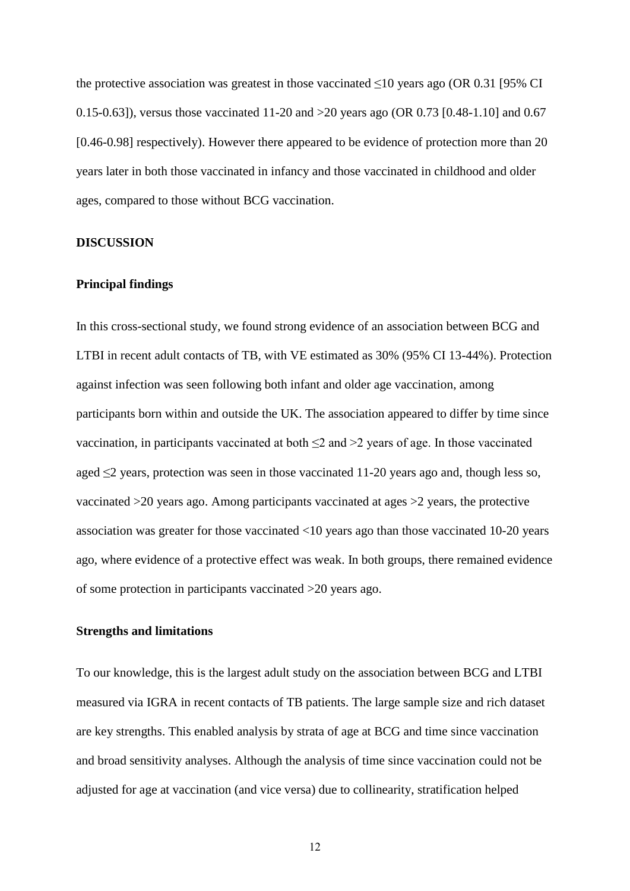the protective association was greatest in those vaccinated  $\leq 10$  years ago (OR 0.31 [95% CI 0.15-0.63]), versus those vaccinated 11-20 and >20 years ago (OR 0.73 [0.48-1.10] and 0.67 [0.46-0.98] respectively). However there appeared to be evidence of protection more than 20 years later in both those vaccinated in infancy and those vaccinated in childhood and older ages, compared to those without BCG vaccination.

## **DISCUSSION**

#### **Principal findings**

In this cross-sectional study, we found strong evidence of an association between BCG and LTBI in recent adult contacts of TB, with VE estimated as 30% (95% CI 13-44%). Protection against infection was seen following both infant and older age vaccination, among participants born within and outside the UK. The association appeared to differ by time since vaccination, in participants vaccinated at both  $\leq$  2 and  $\geq$  years of age. In those vaccinated aged  $\leq$  years, protection was seen in those vaccinated 11-20 years ago and, though less so, vaccinated >20 years ago. Among participants vaccinated at ages >2 years, the protective association was greater for those vaccinated <10 years ago than those vaccinated 10-20 years ago, where evidence of a protective effect was weak. In both groups, there remained evidence of some protection in participants vaccinated >20 years ago.

## **Strengths and limitations**

To our knowledge, this is the largest adult study on the association between BCG and LTBI measured via IGRA in recent contacts of TB patients. The large sample size and rich dataset are key strengths. This enabled analysis by strata of age at BCG and time since vaccination and broad sensitivity analyses. Although the analysis of time since vaccination could not be adjusted for age at vaccination (and vice versa) due to collinearity, stratification helped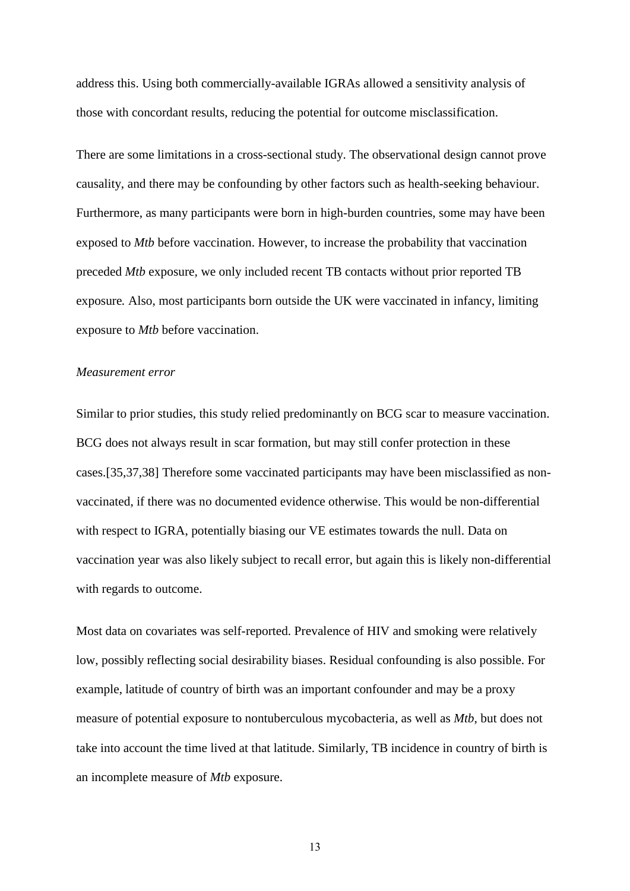address this. Using both commercially-available IGRAs allowed a sensitivity analysis of those with concordant results, reducing the potential for outcome misclassification.

There are some limitations in a cross-sectional study. The observational design cannot prove causality, and there may be confounding by other factors such as health-seeking behaviour. Furthermore, as many participants were born in high-burden countries, some may have been exposed to *Mtb* before vaccination. However, to increase the probability that vaccination preceded *Mtb* exposure*,* we only included recent TB contacts without prior reported TB exposure*.* Also, most participants born outside the UK were vaccinated in infancy, limiting exposure to *Mtb* before vaccination.

#### *Measurement error*

Similar to prior studies, this study relied predominantly on BCG scar to measure vaccination. BCG does not always result in scar formation, but may still confer protection in these cases.[35,37,38] Therefore some vaccinated participants may have been misclassified as nonvaccinated, if there was no documented evidence otherwise. This would be non-differential with respect to IGRA, potentially biasing our VE estimates towards the null. Data on vaccination year was also likely subject to recall error, but again this is likely non-differential with regards to outcome.

Most data on covariates was self-reported. Prevalence of HIV and smoking were relatively low, possibly reflecting social desirability biases. Residual confounding is also possible. For example, latitude of country of birth was an important confounder and may be a proxy measure of potential exposure to nontuberculous mycobacteria, as well as *Mtb*, but does not take into account the time lived at that latitude. Similarly, TB incidence in country of birth is an incomplete measure of *Mtb* exposure.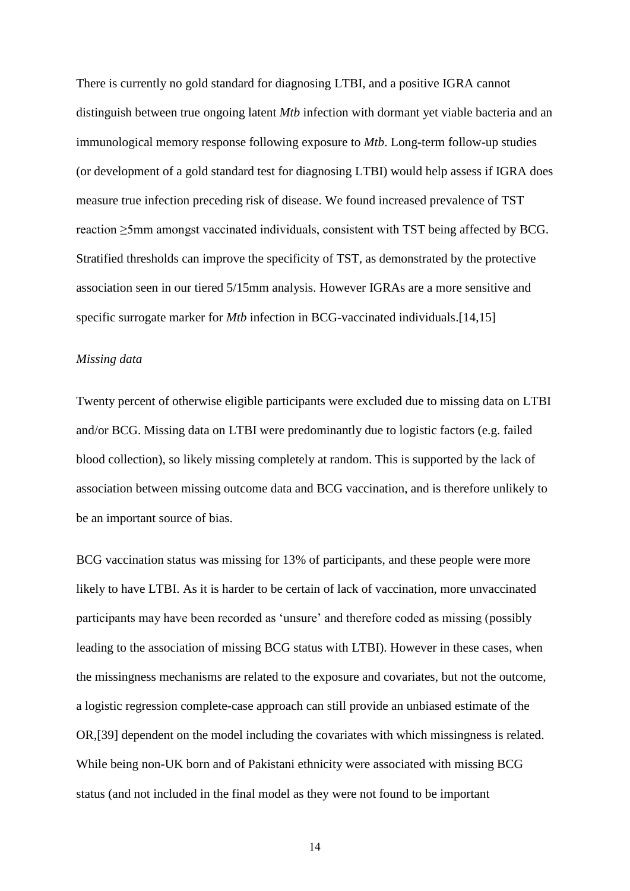There is currently no gold standard for diagnosing LTBI, and a positive IGRA cannot distinguish between true ongoing latent *Mtb* infection with dormant yet viable bacteria and an immunological memory response following exposure to *Mtb*. Long-term follow-up studies (or development of a gold standard test for diagnosing LTBI) would help assess if IGRA does measure true infection preceding risk of disease. We found increased prevalence of TST reaction ≥5mm amongst vaccinated individuals, consistent with TST being affected by BCG. Stratified thresholds can improve the specificity of TST, as demonstrated by the protective association seen in our tiered 5/15mm analysis. However IGRAs are a more sensitive and specific surrogate marker for *Mtb* infection in BCG-vaccinated individuals.<sup>[14,15]</sup>

#### *Missing data*

Twenty percent of otherwise eligible participants were excluded due to missing data on LTBI and/or BCG. Missing data on LTBI were predominantly due to logistic factors (e.g. failed blood collection), so likely missing completely at random. This is supported by the lack of association between missing outcome data and BCG vaccination, and is therefore unlikely to be an important source of bias.

BCG vaccination status was missing for 13% of participants, and these people were more likely to have LTBI. As it is harder to be certain of lack of vaccination, more unvaccinated participants may have been recorded as 'unsure' and therefore coded as missing (possibly leading to the association of missing BCG status with LTBI). However in these cases, when the missingness mechanisms are related to the exposure and covariates, but not the outcome, a logistic regression complete-case approach can still provide an unbiased estimate of the OR,[39] dependent on the model including the covariates with which missingness is related. While being non-UK born and of Pakistani ethnicity were associated with missing BCG status (and not included in the final model as they were not found to be important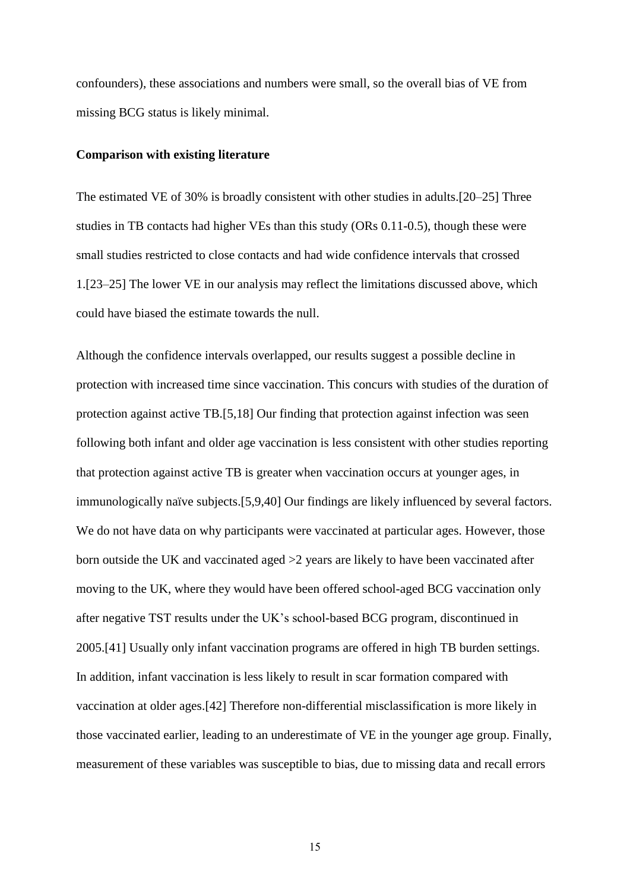confounders), these associations and numbers were small, so the overall bias of VE from missing BCG status is likely minimal.

#### **Comparison with existing literature**

The estimated VE of 30% is broadly consistent with other studies in adults.[20–25] Three studies in TB contacts had higher VEs than this study (ORs 0.11-0.5), though these were small studies restricted to close contacts and had wide confidence intervals that crossed 1.[23–25] The lower VE in our analysis may reflect the limitations discussed above, which could have biased the estimate towards the null.

Although the confidence intervals overlapped, our results suggest a possible decline in protection with increased time since vaccination. This concurs with studies of the duration of protection against active TB.[5,18] Our finding that protection against infection was seen following both infant and older age vaccination is less consistent with other studies reporting that protection against active TB is greater when vaccination occurs at younger ages, in immunologically naïve subjects.[5,9,40] Our findings are likely influenced by several factors. We do not have data on why participants were vaccinated at particular ages. However, those born outside the UK and vaccinated aged >2 years are likely to have been vaccinated after moving to the UK, where they would have been offered school-aged BCG vaccination only after negative TST results under the UK's school-based BCG program, discontinued in 2005.[41] Usually only infant vaccination programs are offered in high TB burden settings. In addition, infant vaccination is less likely to result in scar formation compared with vaccination at older ages.[42] Therefore non-differential misclassification is more likely in those vaccinated earlier, leading to an underestimate of VE in the younger age group. Finally, measurement of these variables was susceptible to bias, due to missing data and recall errors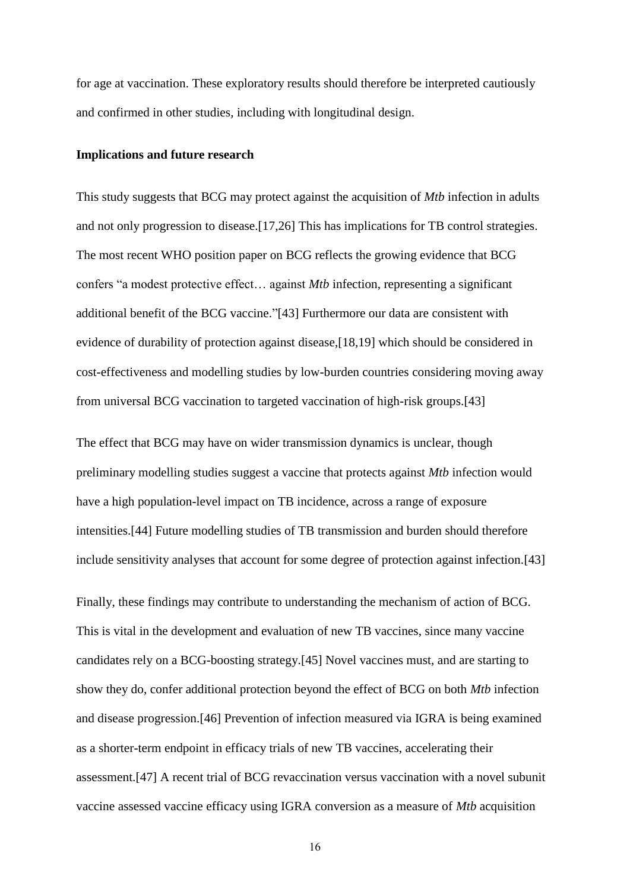for age at vaccination. These exploratory results should therefore be interpreted cautiously and confirmed in other studies, including with longitudinal design.

#### **Implications and future research**

This study suggests that BCG may protect against the acquisition of *Mtb* infection in adults and not only progression to disease.[17,26] This has implications for TB control strategies. The most recent WHO position paper on BCG reflects the growing evidence that BCG confers "a modest protective effect… against *Mtb* infection, representing a significant additional benefit of the BCG vaccine."[43] Furthermore our data are consistent with evidence of durability of protection against disease,[18,19] which should be considered in cost-effectiveness and modelling studies by low-burden countries considering moving away from universal BCG vaccination to targeted vaccination of high-risk groups.[43]

The effect that BCG may have on wider transmission dynamics is unclear, though preliminary modelling studies suggest a vaccine that protects against *Mtb* infection would have a high population-level impact on TB incidence, across a range of exposure intensities.[44] Future modelling studies of TB transmission and burden should therefore include sensitivity analyses that account for some degree of protection against infection.[43]

Finally, these findings may contribute to understanding the mechanism of action of BCG. This is vital in the development and evaluation of new TB vaccines, since many vaccine candidates rely on a BCG-boosting strategy.[45] Novel vaccines must, and are starting to show they do, confer additional protection beyond the effect of BCG on both *Mtb* infection and disease progression.[46] Prevention of infection measured via IGRA is being examined as a shorter-term endpoint in efficacy trials of new TB vaccines, accelerating their assessment.[47] A recent trial of BCG revaccination versus vaccination with a novel subunit vaccine assessed vaccine efficacy using IGRA conversion as a measure of *Mtb* acquisition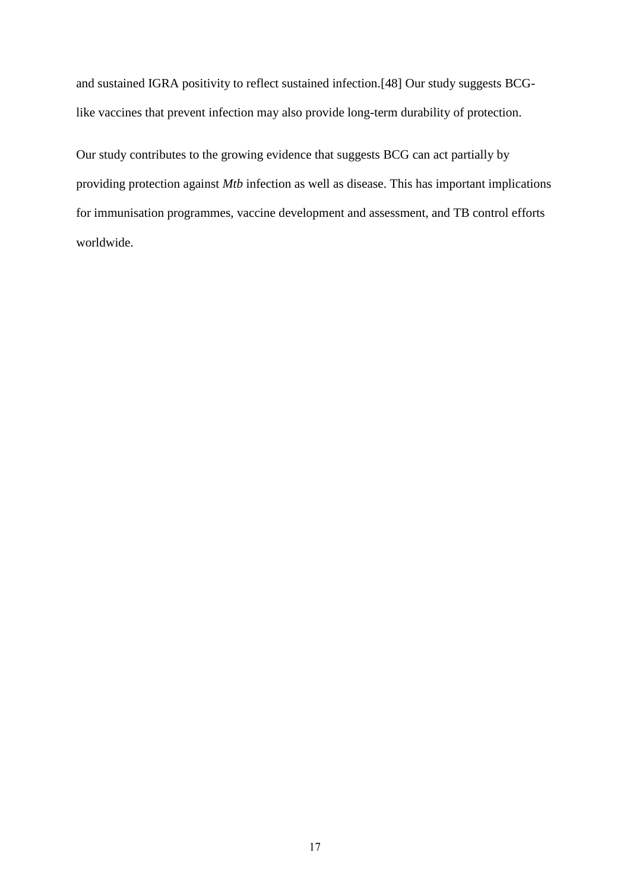and sustained IGRA positivity to reflect sustained infection.[48] Our study suggests BCGlike vaccines that prevent infection may also provide long-term durability of protection.

Our study contributes to the growing evidence that suggests BCG can act partially by providing protection against *Mtb* infection as well as disease. This has important implications for immunisation programmes, vaccine development and assessment, and TB control efforts worldwide.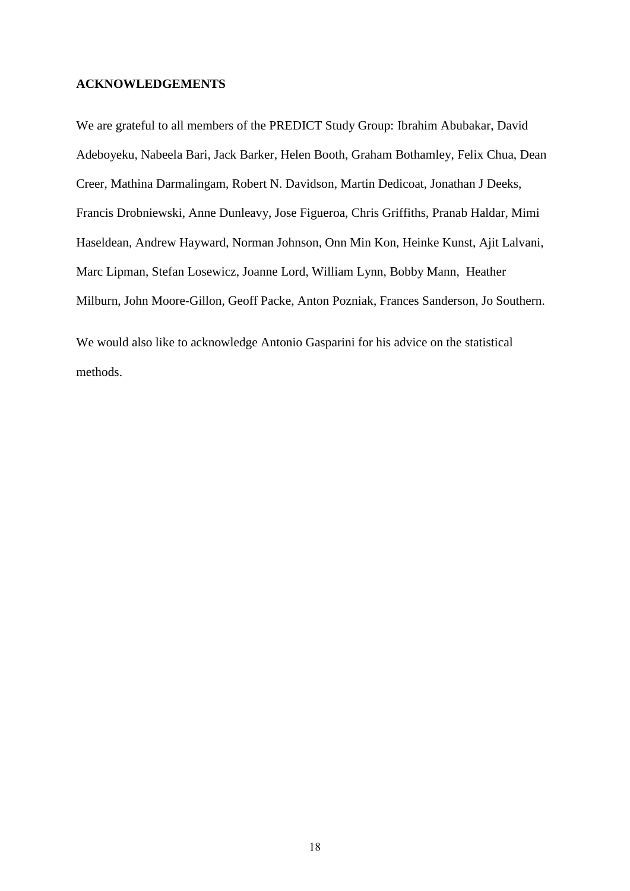#### **ACKNOWLEDGEMENTS**

We are grateful to all members of the PREDICT Study Group: Ibrahim Abubakar, David Adeboyeku, Nabeela Bari, Jack Barker, Helen Booth, Graham Bothamley, Felix Chua, Dean Creer, Mathina Darmalingam, Robert N. Davidson, Martin Dedicoat, Jonathan J Deeks, Francis Drobniewski, Anne Dunleavy, Jose Figueroa, Chris Griffiths, Pranab Haldar, Mimi Haseldean, Andrew Hayward, Norman Johnson, Onn Min Kon, Heinke Kunst, Ajit Lalvani, Marc Lipman, Stefan Losewicz, Joanne Lord, William Lynn, Bobby Mann, Heather Milburn, John Moore-Gillon, Geoff Packe, Anton Pozniak, Frances Sanderson, Jo Southern.

We would also like to acknowledge Antonio Gasparini for his advice on the statistical methods.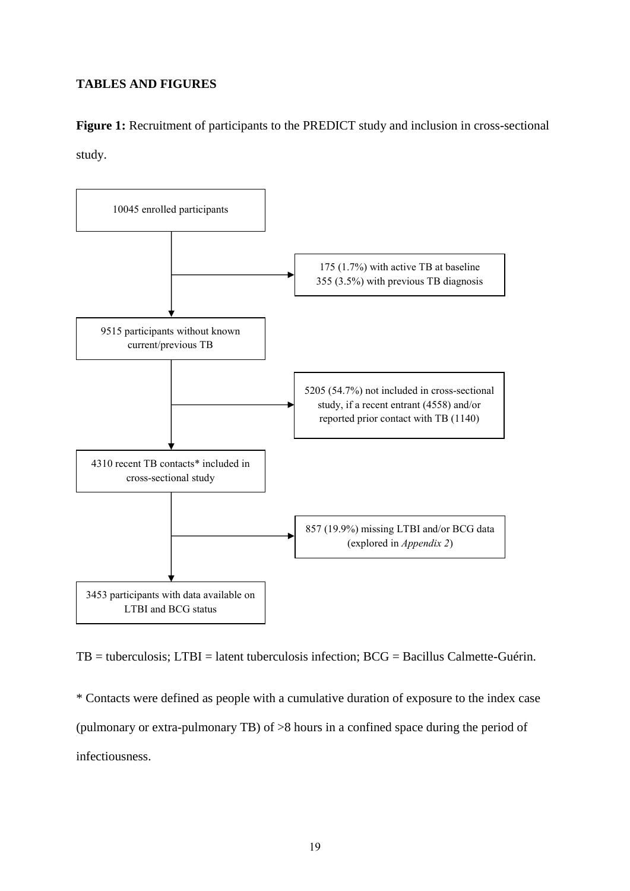## **TABLES AND FIGURES**

**Figure 1:** Recruitment of participants to the PREDICT study and inclusion in cross-sectional study.



TB = tuberculosis; LTBI = latent tuberculosis infection; BCG = Bacillus Calmette-Guérin.

\* Contacts were defined as people with a cumulative duration of exposure to the index case (pulmonary or extra-pulmonary TB) of >8 hours in a confined space during the period of infectiousness.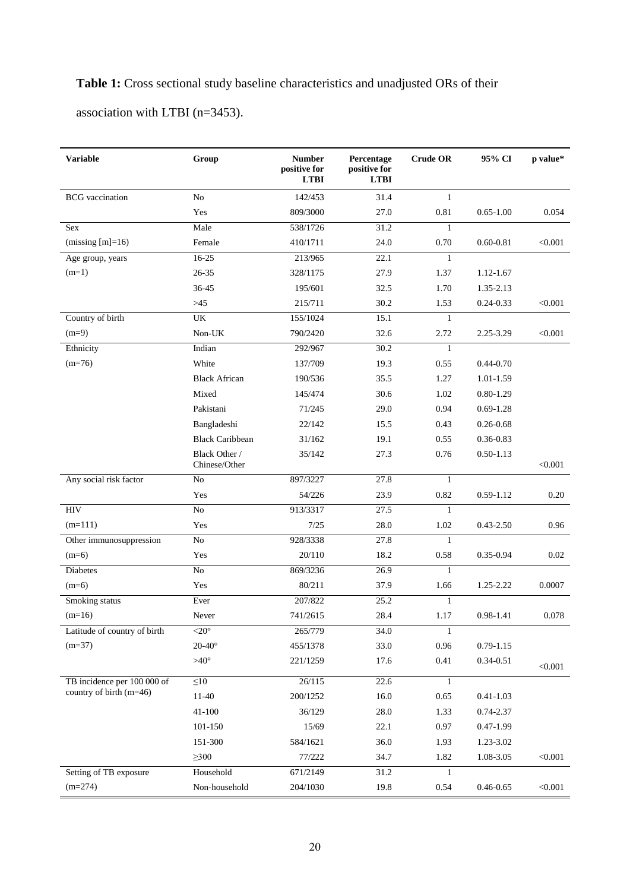# **Table 1:** Cross sectional study baseline characteristics and unadjusted ORs of their

association with LTBI (n=3453).

| <b>Variable</b>              | Group                          | <b>Number</b><br>positive for<br><b>LTBI</b> | Percentage<br>positive for<br><b>LTBI</b> | <b>Crude OR</b> | 95% CI        | p value* |
|------------------------------|--------------------------------|----------------------------------------------|-------------------------------------------|-----------------|---------------|----------|
| <b>BCG</b> vaccination       | $\rm No$                       | 142/453                                      | 31.4                                      | $\mathbf{1}$    |               |          |
|                              | Yes                            | 809/3000                                     | 27.0                                      | 0.81            | $0.65 - 1.00$ | 0.054    |
| Sex                          | Male                           | 538/1726                                     | 31.2                                      | $\mathbf{1}$    |               |          |
| (missing $[m]=16$ )          | Female                         | 410/1711                                     | 24.0                                      | 0.70            | $0.60 - 0.81$ | < 0.001  |
| Age group, years             | $16-25$                        | 213/965                                      | 22.1                                      | $\mathbf{1}$    |               |          |
| $(m=1)$                      | $26 - 35$                      | 328/1175                                     | 27.9                                      | 1.37            | 1.12-1.67     |          |
|                              | 36-45                          | 195/601                                      | 32.5                                      | 1.70            | 1.35-2.13     |          |
|                              | $>\!\!45$                      | 215/711                                      | 30.2                                      | 1.53            | $0.24 - 0.33$ | < 0.001  |
| Country of birth             | UK                             | 155/1024                                     | 15.1                                      | 1               |               |          |
| $(m=9)$                      | Non-UK                         | 790/2420                                     | 32.6                                      | 2.72            | 2.25-3.29     | < 0.001  |
| Ethnicity                    | Indian                         | 292/967                                      | 30.2                                      | 1               |               |          |
| $(m=76)$                     | White                          | 137/709                                      | 19.3                                      | 0.55            | $0.44 - 0.70$ |          |
|                              | <b>Black African</b>           | 190/536                                      | 35.5                                      | 1.27            | 1.01-1.59     |          |
|                              | Mixed                          | 145/474                                      | 30.6                                      | 1.02            | $0.80 - 1.29$ |          |
|                              | Pakistani                      | 71/245                                       | 29.0                                      | 0.94            | $0.69 - 1.28$ |          |
|                              | Bangladeshi                    | 22/142                                       | 15.5                                      | 0.43            | $0.26 - 0.68$ |          |
|                              | <b>Black Caribbean</b>         | 31/162                                       | 19.1                                      | 0.55            | 0.36-0.83     |          |
|                              | Black Other /<br>Chinese/Other | 35/142                                       | 27.3                                      | 0.76            | $0.50 - 1.13$ | < 0.001  |
| Any social risk factor       | N <sub>o</sub>                 | 897/3227                                     | 27.8                                      | $\mathbf{1}$    |               |          |
|                              | Yes                            | 54/226                                       | 23.9                                      | 0.82            | $0.59 - 1.12$ | 0.20     |
| HIV                          | No                             | 913/3317                                     | 27.5                                      | $\mathbf{1}$    |               |          |
| $(m=111)$                    | Yes                            | 7/25                                         | 28.0                                      | 1.02            | $0.43 - 2.50$ | 0.96     |
| Other immunosuppression      | No                             | 928/3338                                     | 27.8                                      | 1               |               |          |
| $(m=6)$                      | Yes                            | 20/110                                       | 18.2                                      | 0.58            | $0.35 - 0.94$ | 0.02     |
| <b>Diabetes</b>              | $\rm No$                       | 869/3236                                     | 26.9                                      | $\mathbf{1}$    |               |          |
| $(m=6)$                      | Yes                            | 80/211                                       | 37.9                                      | 1.66            | 1.25-2.22     | 0.0007   |
| Smoking status               | Ever                           | 207/822                                      | 25.2                                      | $\mathbf{1}$    |               |          |
| $(m=16)$                     | Never                          | 741/2615                                     | 28.4                                      | 1.17            | 0.98-1.41     | 0.078    |
| Latitude of country of birth | $\overline{20^\circ}$          | 265/779                                      | 34.0                                      | $\mathbf{1}$    |               |          |
| $(m=37)$                     | $20-40^\circ$                  | 455/1378                                     | 33.0                                      | 0.96            | $0.79 - 1.15$ |          |
|                              | $>40^{\circ}$                  | 221/1259                                     | 17.6                                      | 0.41            | $0.34 - 0.51$ | < 0.001  |
| TB incidence per 100 000 of  | $\leq 10$                      | 26/115                                       | 22.6                                      | $\mathbf{1}$    |               |          |
| country of birth (m=46)      | $11-40$                        | 200/1252                                     | 16.0                                      | 0.65            | $0.41 - 1.03$ |          |
|                              | 41-100                         | 36/129                                       | 28.0                                      | 1.33            | 0.74-2.37     |          |
|                              | 101-150                        | 15/69                                        | 22.1                                      | 0.97            | $0.47 - 1.99$ |          |
|                              | 151-300                        | 584/1621                                     | 36.0                                      | 1.93            | 1.23-3.02     |          |
|                              | $\geq 300$                     | 77/222                                       | 34.7                                      | 1.82            | 1.08-3.05     | < 0.001  |
| Setting of TB exposure       | Household                      | 671/2149                                     | 31.2                                      | 1               |               |          |
| $(m=274)$                    | Non-household                  | 204/1030                                     | 19.8                                      | 0.54            | $0.46 - 0.65$ | < 0.001  |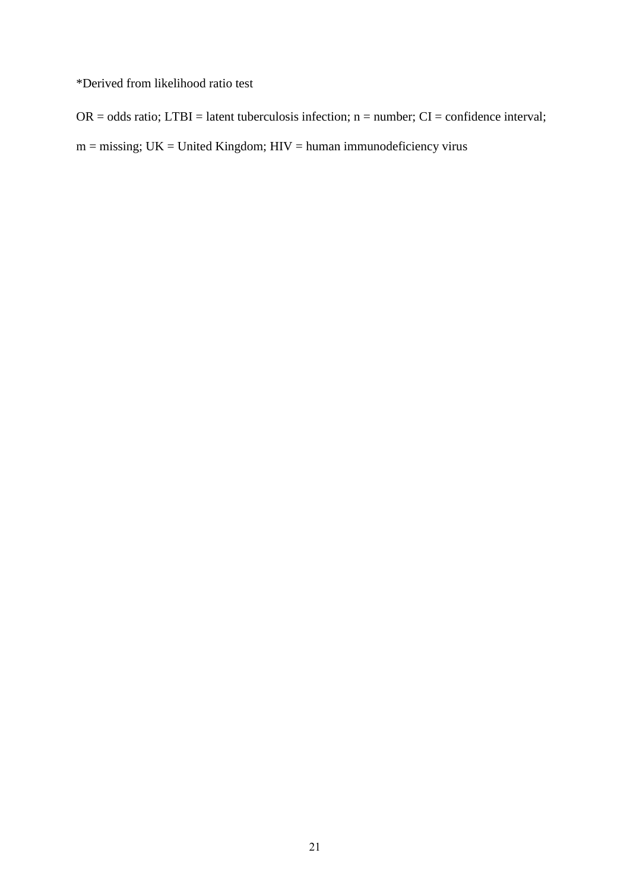\*Derived from likelihood ratio test

 $OR = odds ratio$ ;  $LTBI = latent tuberculosis$  infection; n = number;  $CI = confidence$  interval;

 $m =$  missing;  $UK =$  United Kingdom;  $HIV =$  human immunodeficiency virus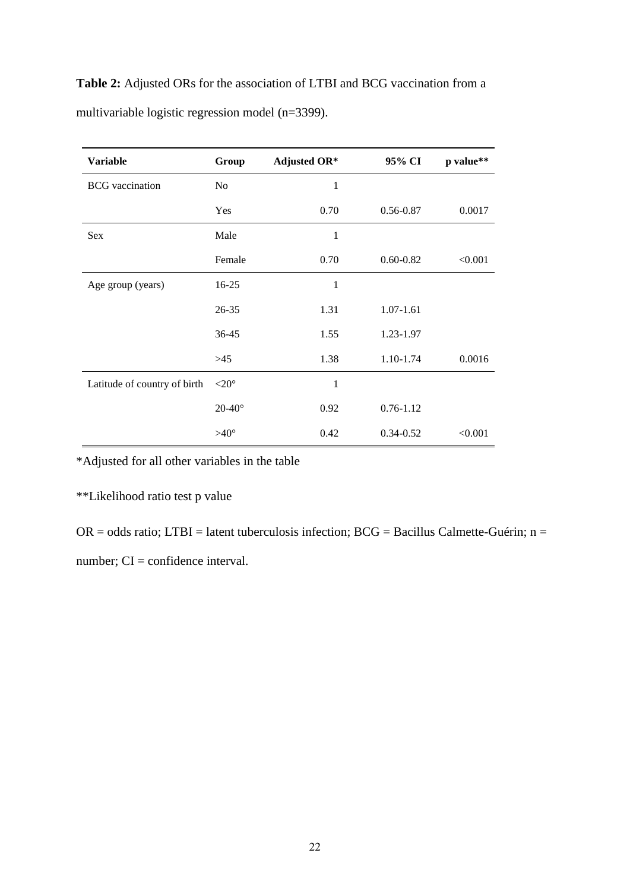|  |  | <b>Table 2:</b> Adjusted ORs for the association of LTBI and BCG vaccination from a |  |  |  |  |
|--|--|-------------------------------------------------------------------------------------|--|--|--|--|
|  |  | multivariable logistic regression model (n=3399).                                   |  |  |  |  |

| <b>Variable</b>              | Group             | <b>Adjusted OR*</b> | 95% CI        | p value** |
|------------------------------|-------------------|---------------------|---------------|-----------|
| <b>BCG</b> vaccination       | No                | 1                   |               |           |
|                              | Yes               | 0.70                | 0.56-0.87     | 0.0017    |
| Sex                          | Male              | 1                   |               |           |
|                              | Female            | 0.70                | $0.60 - 0.82$ | < 0.001   |
| Age group (years)            | 16-25             | 1                   |               |           |
|                              | $26 - 35$         | 1.31                | $1.07 - 1.61$ |           |
|                              | 36-45             | 1.55                | 1.23-1.97     |           |
|                              | >45               | 1.38                | 1.10-1.74     | 0.0016    |
| Latitude of country of birth | $<$ 20 $^{\circ}$ | 1                   |               |           |
|                              | $20-40^\circ$     | 0.92                | $0.76 - 1.12$ |           |
|                              | $>40^{\circ}$     | 0.42                | $0.34 - 0.52$ | < 0.001   |

\*Adjusted for all other variables in the table

\*\*Likelihood ratio test p value

OR = odds ratio; LTBI = latent tuberculosis infection; BCG = Bacillus Calmette-Guérin; n = number; CI = confidence interval.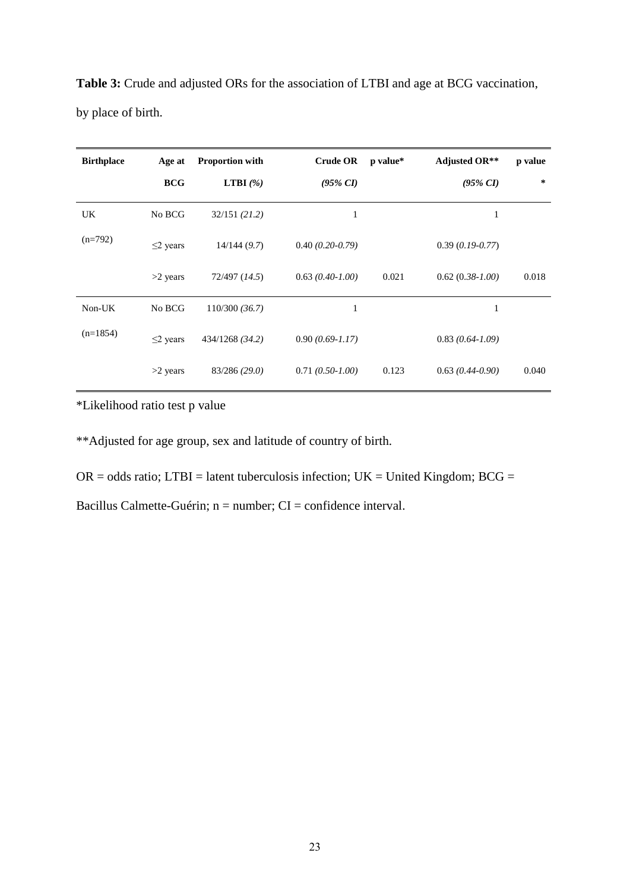| <b>Birthplace</b> | Age at       | <b>Proportion with</b> | <b>Crude OR</b>   | p value* | Adjusted OR**     | p value |
|-------------------|--------------|------------------------|-------------------|----------|-------------------|---------|
|                   | <b>BCG</b>   | <b>LTBI</b> $(\%)$     | $(95\% CI)$       |          | $(95\% \ CI)$     | ∗       |
| UK.               | No BCG       | 32/151(21.2)           | 1                 |          | 1                 |         |
| $(n=792)$         | $\leq$ years | 14/144(9.7)            | $0.40(0.20-0.79)$ |          | $0.39(0.19-0.77)$ |         |
|                   | $>2$ years   | 72/497 (14.5)          | $0.63(0.40-1.00)$ | 0.021    | $0.62(0.38-1.00)$ | 0.018   |
| Non-UK            | No BCG       | 110/300(36.7)          | 1                 |          | 1                 |         |
| $(n=1854)$        | $\leq$ years | 434/1268 (34.2)        | $0.90(0.69-1.17)$ |          | $0.83(0.64-1.09)$ |         |
|                   | $>2$ years   | 83/286 (29.0)          | $0.71(0.50-1.00)$ | 0.123    | $0.63(0.44-0.90)$ | 0.040   |

**Table 3:** Crude and adjusted ORs for the association of LTBI and age at BCG vaccination, by place of birth.

\*Likelihood ratio test p value

\*\*Adjusted for age group, sex and latitude of country of birth.

 $OR = odds ratio$ ;  $LTBI = latent tuberculosis$  infection;  $UK = United Kingdom$ ;  $BCG =$ 

Bacillus Calmette-Guérin; n = number; CI = confidence interval.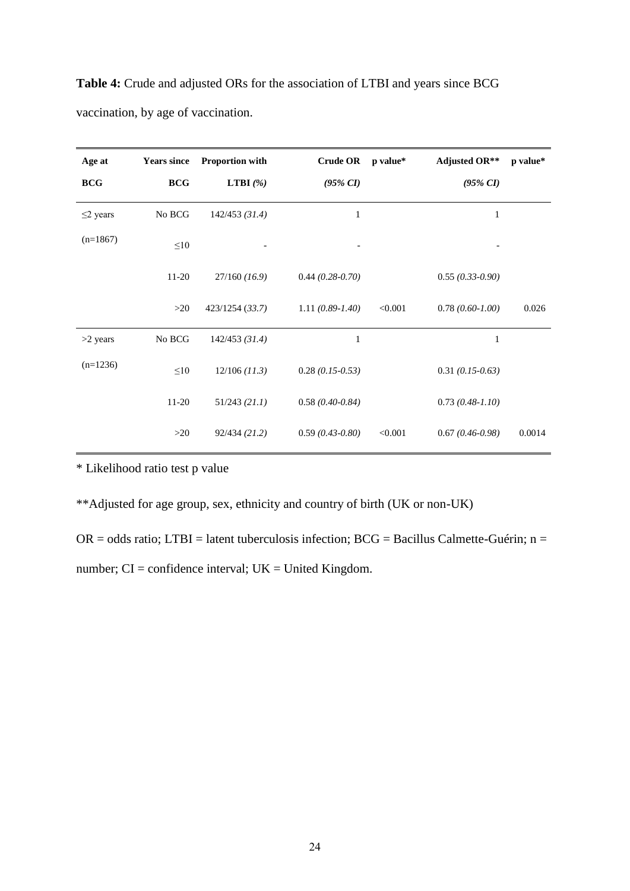| Age at         | <b>Years since</b> | Proportion with    | <b>Crude OR</b>    | p value* | <b>Adjusted OR**</b> | p value* |
|----------------|--------------------|--------------------|--------------------|----------|----------------------|----------|
| <b>BCG</b>     | <b>BCG</b>         | <b>LTBI</b> $(\%)$ | $(95\% \ CI)$      |          | $(95\% \ CI)$        |          |
| $\leq$ 2 years | No BCG             | $142/453$ (31.4)   | 1                  |          | $\mathbf{1}$         |          |
| $(n=1867)$     | $\leq 10$          |                    | -                  |          | -                    |          |
|                | $11-20$            | $27/160$ (16.9)    | $0.44(0.28-0.70)$  |          | $0.55(0.33-0.90)$    |          |
|                | >20                | 423/1254 (33.7)    | $1.11(0.89-1.40)$  | < 0.001  | $0.78(0.60-1.00)$    | 0.026    |
| $>2$ years     | No BCG             | $142/453$ (31.4)   | $\mathbf{1}$       |          | 1                    |          |
| $(n=1236)$     | $\leq 10$          | $12/106$ (11.3)    | $0.28$ (0.15-0.53) |          | $0.31(0.15-0.63)$    |          |
|                | 11-20              | 51/243 (21.1)      | $0.58(0.40-0.84)$  |          | $0.73(0.48-1.10)$    |          |
|                | >20                | 92/434 (21.2)      | $0.59(0.43-0.80)$  | < 0.001  | $0.67(0.46-0.98)$    | 0.0014   |

**Table 4:** Crude and adjusted ORs for the association of LTBI and years since BCG vaccination, by age of vaccination.

\* Likelihood ratio test p value

\*\*Adjusted for age group, sex, ethnicity and country of birth (UK or non-UK)

 $OR = odds ratio$ ; LTBI = latent tuberculosis infection; BCG = Bacillus Calmette-Guérin; n = number;  $CI =$  confidence interval;  $UK =$  United Kingdom.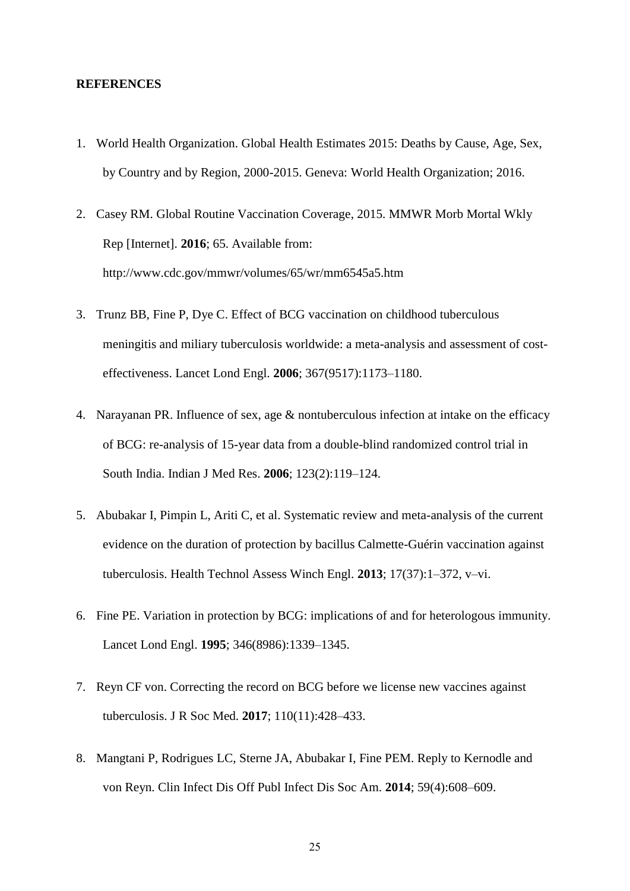#### **REFERENCES**

- 1. World Health Organization. Global Health Estimates 2015: Deaths by Cause, Age, Sex, by Country and by Region, 2000-2015. Geneva: World Health Organization; 2016.
- 2. Casey RM. Global Routine Vaccination Coverage, 2015. MMWR Morb Mortal Wkly Rep [Internet]. **2016**; 65. Available from: http://www.cdc.gov/mmwr/volumes/65/wr/mm6545a5.htm
- 3. Trunz BB, Fine P, Dye C. Effect of BCG vaccination on childhood tuberculous meningitis and miliary tuberculosis worldwide: a meta-analysis and assessment of costeffectiveness. Lancet Lond Engl. **2006**; 367(9517):1173–1180.
- 4. Narayanan PR. Influence of sex, age & nontuberculous infection at intake on the efficacy of BCG: re-analysis of 15-year data from a double-blind randomized control trial in South India. Indian J Med Res. **2006**; 123(2):119–124.
- 5. Abubakar I, Pimpin L, Ariti C, et al. Systematic review and meta-analysis of the current evidence on the duration of protection by bacillus Calmette-Guérin vaccination against tuberculosis. Health Technol Assess Winch Engl. **2013**; 17(37):1–372, v–vi.
- 6. Fine PE. Variation in protection by BCG: implications of and for heterologous immunity. Lancet Lond Engl. **1995**; 346(8986):1339–1345.
- 7. Reyn CF von. Correcting the record on BCG before we license new vaccines against tuberculosis. J R Soc Med. **2017**; 110(11):428–433.
- 8. Mangtani P, Rodrigues LC, Sterne JA, Abubakar I, Fine PEM. Reply to Kernodle and von Reyn. Clin Infect Dis Off Publ Infect Dis Soc Am. **2014**; 59(4):608–609.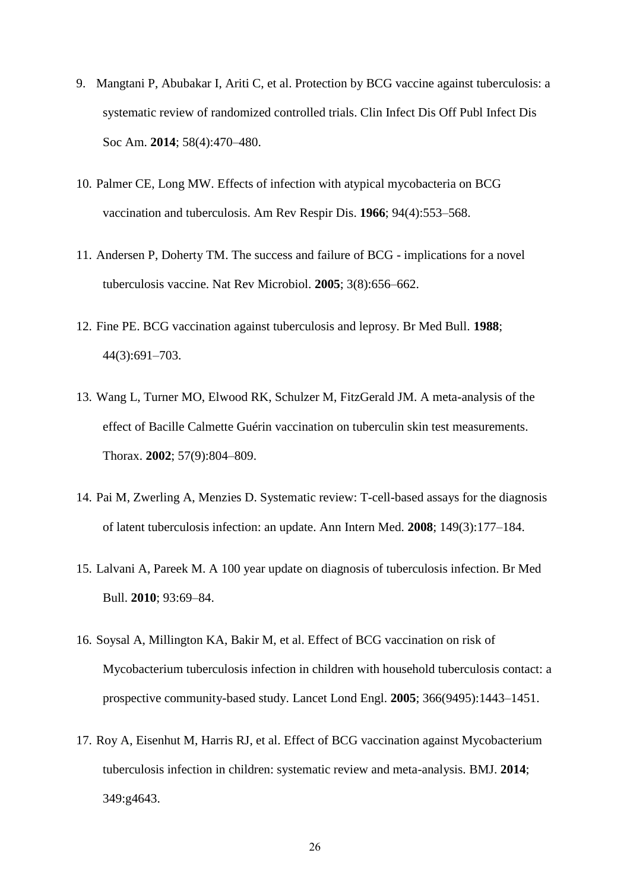- 9. Mangtani P, Abubakar I, Ariti C, et al. Protection by BCG vaccine against tuberculosis: a systematic review of randomized controlled trials. Clin Infect Dis Off Publ Infect Dis Soc Am. **2014**; 58(4):470–480.
- 10. Palmer CE, Long MW. Effects of infection with atypical mycobacteria on BCG vaccination and tuberculosis. Am Rev Respir Dis. **1966**; 94(4):553–568.
- 11. Andersen P, Doherty TM. The success and failure of BCG implications for a novel tuberculosis vaccine. Nat Rev Microbiol. **2005**; 3(8):656–662.
- 12. Fine PE. BCG vaccination against tuberculosis and leprosy. Br Med Bull. **1988**; 44(3):691–703.
- 13. Wang L, Turner MO, Elwood RK, Schulzer M, FitzGerald JM. A meta-analysis of the effect of Bacille Calmette Guérin vaccination on tuberculin skin test measurements. Thorax. **2002**; 57(9):804–809.
- 14. Pai M, Zwerling A, Menzies D. Systematic review: T-cell-based assays for the diagnosis of latent tuberculosis infection: an update. Ann Intern Med. **2008**; 149(3):177–184.
- 15. Lalvani A, Pareek M. A 100 year update on diagnosis of tuberculosis infection. Br Med Bull. **2010**; 93:69–84.
- 16. Soysal A, Millington KA, Bakir M, et al. Effect of BCG vaccination on risk of Mycobacterium tuberculosis infection in children with household tuberculosis contact: a prospective community-based study. Lancet Lond Engl. **2005**; 366(9495):1443–1451.
- 17. Roy A, Eisenhut M, Harris RJ, et al. Effect of BCG vaccination against Mycobacterium tuberculosis infection in children: systematic review and meta-analysis. BMJ. **2014**; 349:g4643.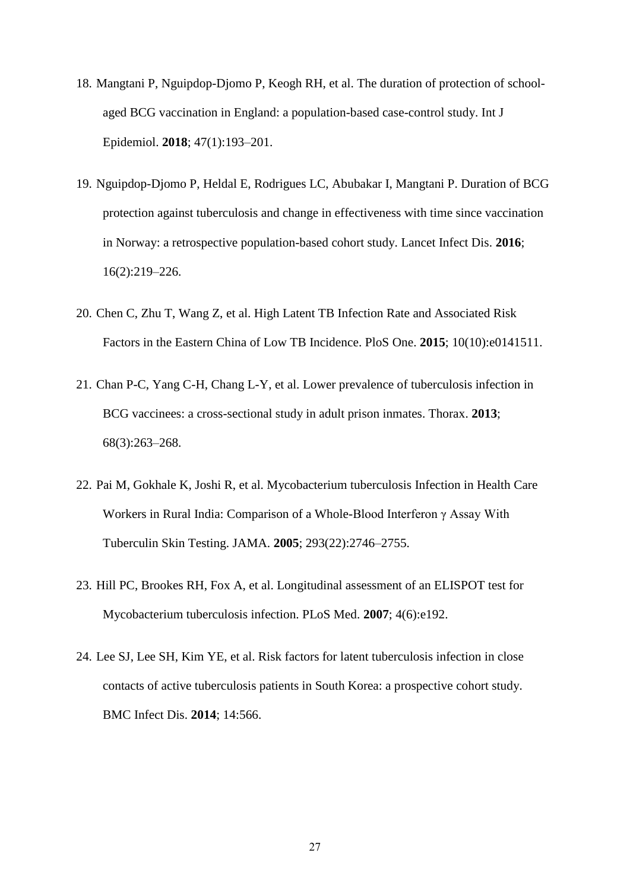- 18. Mangtani P, Nguipdop-Djomo P, Keogh RH, et al. The duration of protection of schoolaged BCG vaccination in England: a population-based case-control study. Int J Epidemiol. **2018**; 47(1):193–201.
- 19. Nguipdop-Djomo P, Heldal E, Rodrigues LC, Abubakar I, Mangtani P. Duration of BCG protection against tuberculosis and change in effectiveness with time since vaccination in Norway: a retrospective population-based cohort study. Lancet Infect Dis. **2016**; 16(2):219–226.
- 20. Chen C, Zhu T, Wang Z, et al. High Latent TB Infection Rate and Associated Risk Factors in the Eastern China of Low TB Incidence. PloS One. **2015**; 10(10):e0141511.
- 21. Chan P-C, Yang C-H, Chang L-Y, et al. Lower prevalence of tuberculosis infection in BCG vaccinees: a cross-sectional study in adult prison inmates. Thorax. **2013**; 68(3):263–268.
- 22. Pai M, Gokhale K, Joshi R, et al. Mycobacterium tuberculosis Infection in Health Care Workers in Rural India: Comparison of a Whole-Blood Interferon γ Assay With Tuberculin Skin Testing. JAMA. **2005**; 293(22):2746–2755.
- 23. Hill PC, Brookes RH, Fox A, et al. Longitudinal assessment of an ELISPOT test for Mycobacterium tuberculosis infection. PLoS Med. **2007**; 4(6):e192.
- 24. Lee SJ, Lee SH, Kim YE, et al. Risk factors for latent tuberculosis infection in close contacts of active tuberculosis patients in South Korea: a prospective cohort study. BMC Infect Dis. **2014**; 14:566.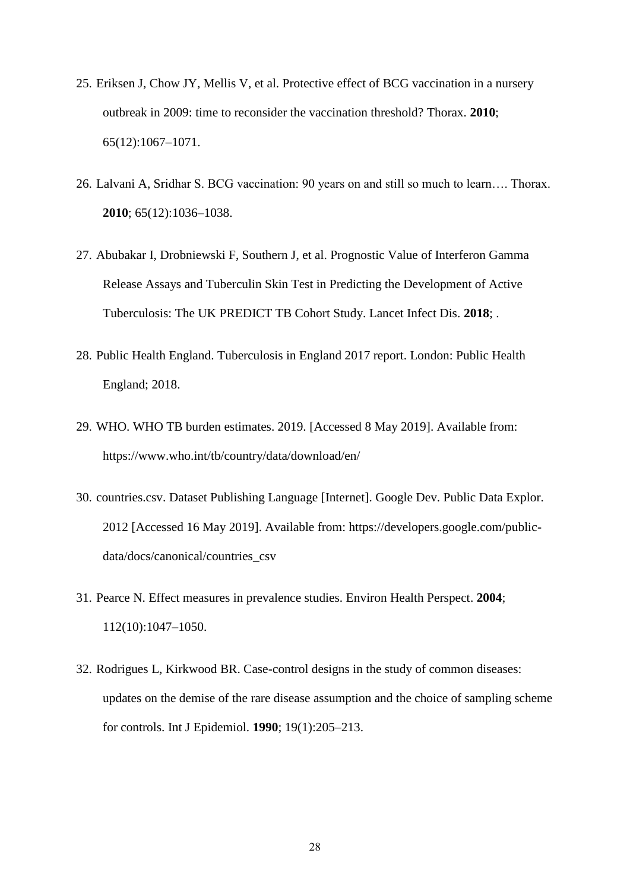- 25. Eriksen J, Chow JY, Mellis V, et al. Protective effect of BCG vaccination in a nursery outbreak in 2009: time to reconsider the vaccination threshold? Thorax. **2010**; 65(12):1067–1071.
- 26. Lalvani A, Sridhar S. BCG vaccination: 90 years on and still so much to learn…. Thorax. **2010**; 65(12):1036–1038.
- 27. Abubakar I, Drobniewski F, Southern J, et al. Prognostic Value of Interferon Gamma Release Assays and Tuberculin Skin Test in Predicting the Development of Active Tuberculosis: The UK PREDICT TB Cohort Study. Lancet Infect Dis. **2018**; .
- 28. Public Health England. Tuberculosis in England 2017 report. London: Public Health England; 2018.
- 29. WHO. WHO TB burden estimates. 2019. [Accessed 8 May 2019]. Available from: https://www.who.int/tb/country/data/download/en/
- 30. countries.csv. Dataset Publishing Language [Internet]. Google Dev. Public Data Explor. 2012 [Accessed 16 May 2019]. Available from: https://developers.google.com/publicdata/docs/canonical/countries\_csv
- 31. Pearce N. Effect measures in prevalence studies. Environ Health Perspect. **2004**; 112(10):1047–1050.
- 32. Rodrigues L, Kirkwood BR. Case-control designs in the study of common diseases: updates on the demise of the rare disease assumption and the choice of sampling scheme for controls. Int J Epidemiol. **1990**; 19(1):205–213.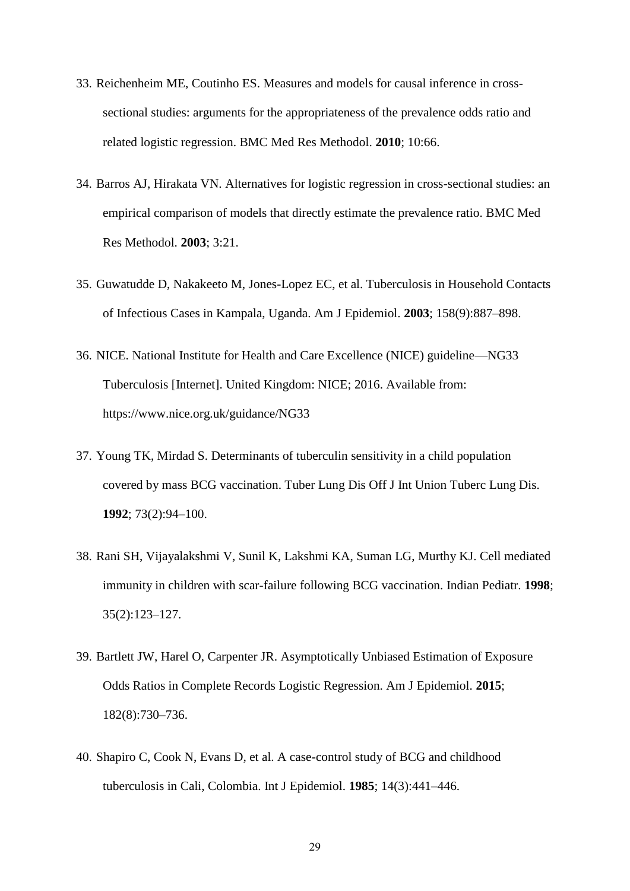- 33. Reichenheim ME, Coutinho ES. Measures and models for causal inference in crosssectional studies: arguments for the appropriateness of the prevalence odds ratio and related logistic regression. BMC Med Res Methodol. **2010**; 10:66.
- 34. Barros AJ, Hirakata VN. Alternatives for logistic regression in cross-sectional studies: an empirical comparison of models that directly estimate the prevalence ratio. BMC Med Res Methodol. **2003**; 3:21.
- 35. Guwatudde D, Nakakeeto M, Jones-Lopez EC, et al. Tuberculosis in Household Contacts of Infectious Cases in Kampala, Uganda. Am J Epidemiol. **2003**; 158(9):887–898.
- 36. NICE. National Institute for Health and Care Excellence (NICE) guideline—NG33 Tuberculosis [Internet]. United Kingdom: NICE; 2016. Available from: https://www.nice.org.uk/guidance/NG33
- 37. Young TK, Mirdad S. Determinants of tuberculin sensitivity in a child population covered by mass BCG vaccination. Tuber Lung Dis Off J Int Union Tuberc Lung Dis. **1992**; 73(2):94–100.
- 38. Rani SH, Vijayalakshmi V, Sunil K, Lakshmi KA, Suman LG, Murthy KJ. Cell mediated immunity in children with scar-failure following BCG vaccination. Indian Pediatr. **1998**; 35(2):123–127.
- 39. Bartlett JW, Harel O, Carpenter JR. Asymptotically Unbiased Estimation of Exposure Odds Ratios in Complete Records Logistic Regression. Am J Epidemiol. **2015**; 182(8):730–736.
- 40. Shapiro C, Cook N, Evans D, et al. A case-control study of BCG and childhood tuberculosis in Cali, Colombia. Int J Epidemiol. **1985**; 14(3):441–446.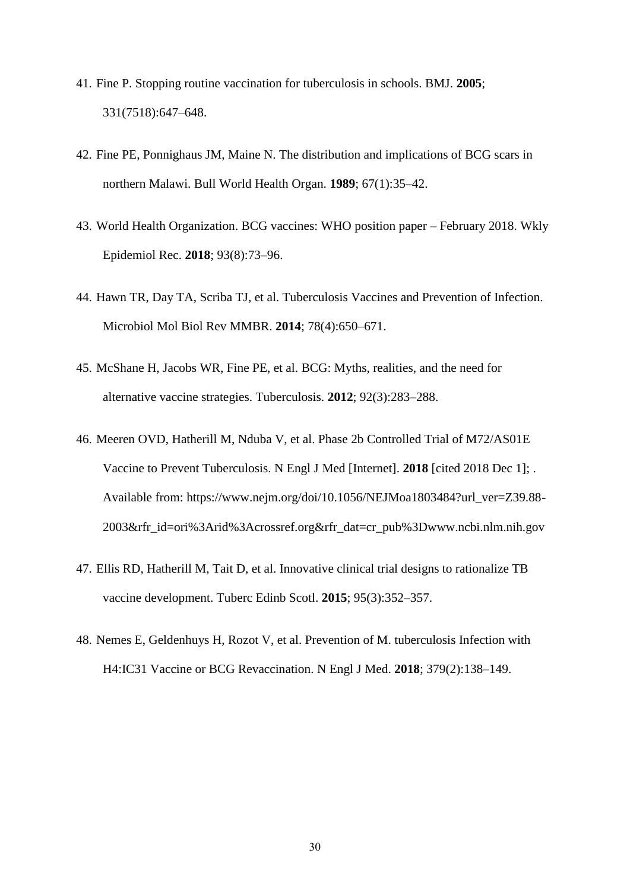- 41. Fine P. Stopping routine vaccination for tuberculosis in schools. BMJ. **2005**; 331(7518):647–648.
- 42. Fine PE, Ponnighaus JM, Maine N. The distribution and implications of BCG scars in northern Malawi. Bull World Health Organ. **1989**; 67(1):35–42.
- 43. World Health Organization. BCG vaccines: WHO position paper February 2018. Wkly Epidemiol Rec. **2018**; 93(8):73–96.
- 44. Hawn TR, Day TA, Scriba TJ, et al. Tuberculosis Vaccines and Prevention of Infection. Microbiol Mol Biol Rev MMBR. **2014**; 78(4):650–671.
- 45. McShane H, Jacobs WR, Fine PE, et al. BCG: Myths, realities, and the need for alternative vaccine strategies. Tuberculosis. **2012**; 92(3):283–288.
- 46. Meeren OVD, Hatherill M, Nduba V, et al. Phase 2b Controlled Trial of M72/AS01E Vaccine to Prevent Tuberculosis. N Engl J Med [Internet]. **2018** [cited 2018 Dec 1]; . Available from: https://www.nejm.org/doi/10.1056/NEJMoa1803484?url\_ver=Z39.88- 2003&rfr\_id=ori%3Arid%3Acrossref.org&rfr\_dat=cr\_pub%3Dwww.ncbi.nlm.nih.gov
- 47. Ellis RD, Hatherill M, Tait D, et al. Innovative clinical trial designs to rationalize TB vaccine development. Tuberc Edinb Scotl. **2015**; 95(3):352–357.
- 48. Nemes E, Geldenhuys H, Rozot V, et al. Prevention of M. tuberculosis Infection with H4:IC31 Vaccine or BCG Revaccination. N Engl J Med. **2018**; 379(2):138–149.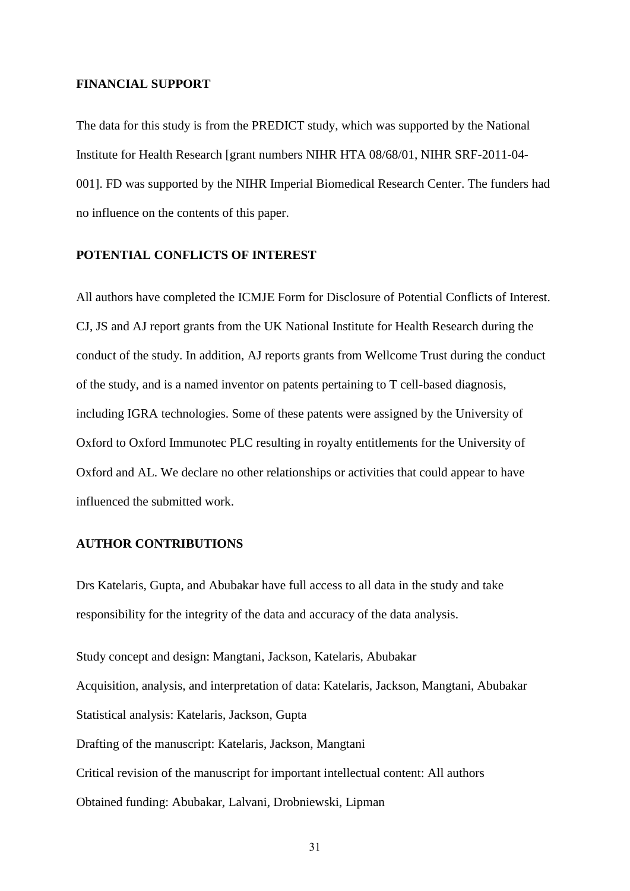#### **FINANCIAL SUPPORT**

The data for this study is from the PREDICT study, which was supported by the National Institute for Health Research [grant numbers NIHR HTA 08/68/01, NIHR SRF-2011-04- 001]. FD was supported by the NIHR Imperial Biomedical Research Center. The funders had no influence on the contents of this paper.

#### **POTENTIAL CONFLICTS OF INTEREST**

All authors have completed the ICMJE Form for Disclosure of Potential Conflicts of Interest. CJ, JS and AJ report grants from the UK National Institute for Health Research during the conduct of the study. In addition, AJ reports grants from Wellcome Trust during the conduct of the study, and is a named inventor on patents pertaining to T cell-based diagnosis, including IGRA technologies. Some of these patents were assigned by the University of Oxford to Oxford Immunotec PLC resulting in royalty entitlements for the University of Oxford and AL. We declare no other relationships or activities that could appear to have influenced the submitted work.

#### **AUTHOR CONTRIBUTIONS**

Drs Katelaris, Gupta, and Abubakar have full access to all data in the study and take responsibility for the integrity of the data and accuracy of the data analysis.

Study concept and design: Mangtani, Jackson, Katelaris, Abubakar Acquisition, analysis, and interpretation of data: Katelaris, Jackson, Mangtani, Abubakar Statistical analysis: Katelaris, Jackson, Gupta Drafting of the manuscript: Katelaris, Jackson, Mangtani Critical revision of the manuscript for important intellectual content: All authors Obtained funding: Abubakar, Lalvani, Drobniewski, Lipman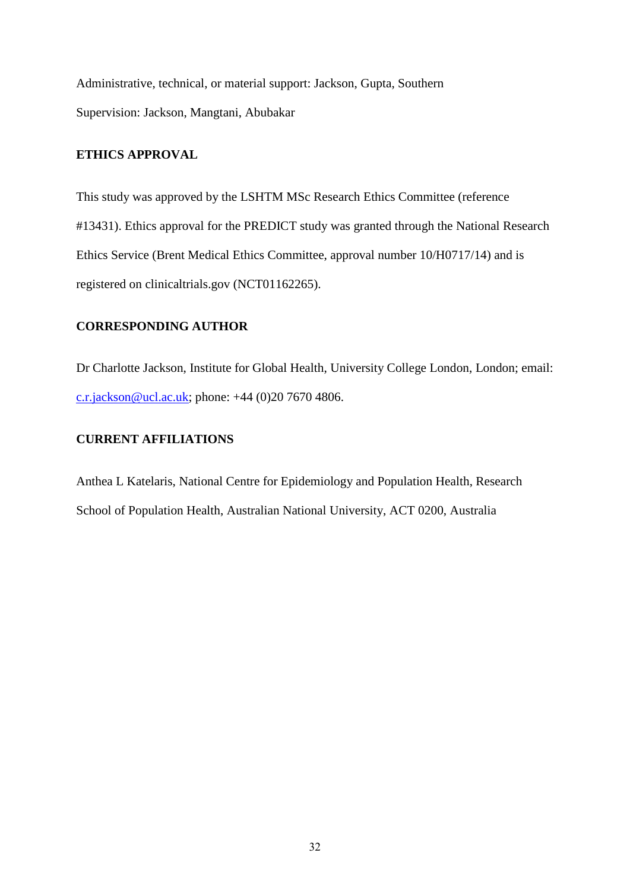Administrative, technical, or material support: Jackson, Gupta, Southern Supervision: Jackson, Mangtani, Abubakar

## **ETHICS APPROVAL**

This study was approved by the LSHTM MSc Research Ethics Committee (reference #13431). Ethics approval for the PREDICT study was granted through the National Research Ethics Service (Brent Medical Ethics Committee, approval number 10/H0717/14) and is registered on clinicaltrials.gov (NCT01162265).

## **CORRESPONDING AUTHOR**

Dr Charlotte Jackson, Institute for Global Health, University College London, London; email: [c.r.jackson@ucl.ac.uk;](mailto:c.r.jackson@ucl.ac.uk) phone:  $+44$  (0)20 7670 4806.

## **CURRENT AFFILIATIONS**

Anthea L Katelaris, National Centre for Epidemiology and Population Health, Research School of Population Health, Australian National University, ACT 0200, Australia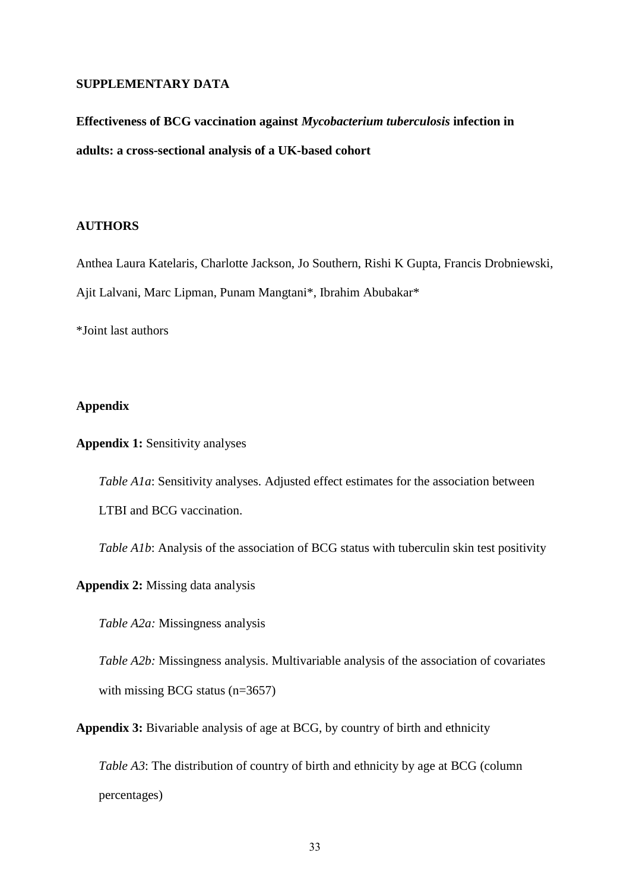#### **SUPPLEMENTARY DATA**

# **Effectiveness of BCG vaccination against** *Mycobacterium tuberculosis* **infection in adults: a cross-sectional analysis of a UK-based cohort**

#### **AUTHORS**

Anthea Laura Katelaris, Charlotte Jackson, Jo Southern, Rishi K Gupta, Francis Drobniewski, Ajit Lalvani, Marc Lipman, Punam Mangtani\*, Ibrahim Abubakar\*

\*Joint last authors

## **Appendix**

**Appendix 1:** Sensitivity analyses

*Table A1a*: Sensitivity analyses. Adjusted effect estimates for the association between LTBI and BCG vaccination.

*Table A1b*: Analysis of the association of BCG status with tuberculin skin test positivity

**Appendix 2:** Missing data analysis

*Table A2a:* Missingness analysis

*Table A2b:* Missingness analysis. Multivariable analysis of the association of covariates with missing BCG status (n=3657)

**Appendix 3:** Bivariable analysis of age at BCG, by country of birth and ethnicity

*Table A3*: The distribution of country of birth and ethnicity by age at BCG (column percentages)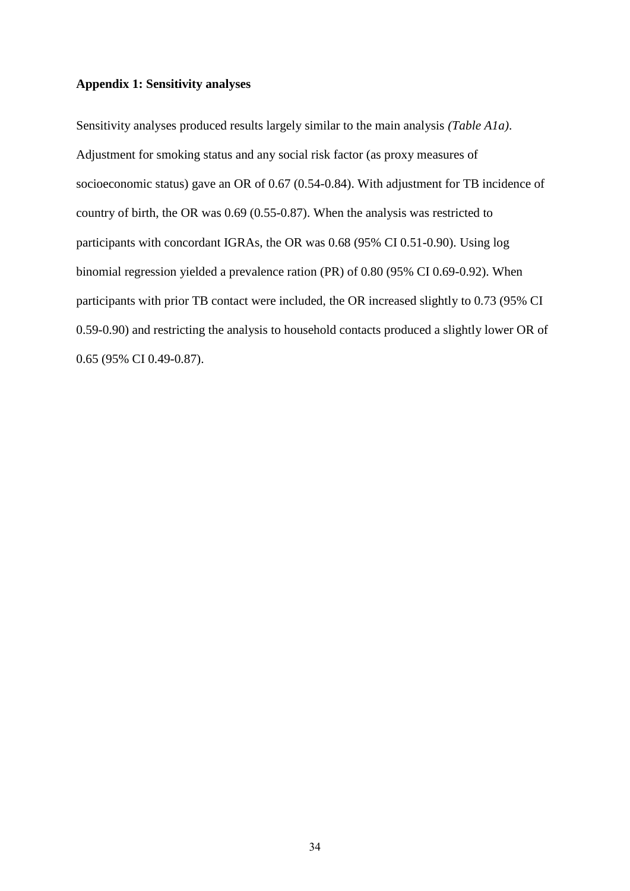#### **Appendix 1: Sensitivity analyses**

Sensitivity analyses produced results largely similar to the main analysis *(Table A1a)*. Adjustment for smoking status and any social risk factor (as proxy measures of socioeconomic status) gave an OR of 0.67 (0.54-0.84). With adjustment for TB incidence of country of birth, the OR was 0.69 (0.55-0.87). When the analysis was restricted to participants with concordant IGRAs, the OR was 0.68 (95% CI 0.51-0.90). Using log binomial regression yielded a prevalence ration (PR) of 0.80 (95% CI 0.69-0.92). When participants with prior TB contact were included, the OR increased slightly to 0.73 (95% CI 0.59-0.90) and restricting the analysis to household contacts produced a slightly lower OR of 0.65 (95% CI 0.49-0.87).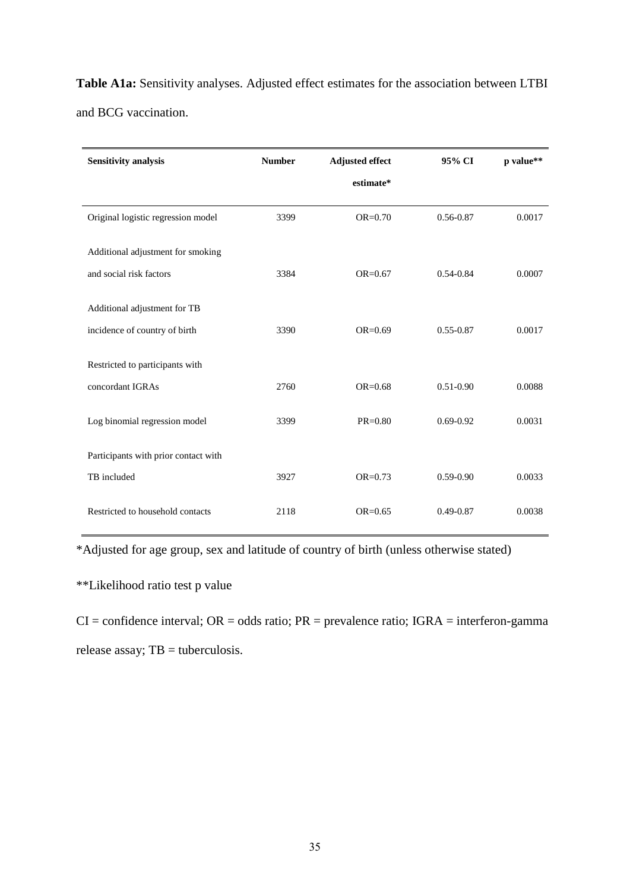**Table A1a:** Sensitivity analyses. Adjusted effect estimates for the association between LTBI and BCG vaccination.

| <b>Sensitivity analysis</b>          | <b>Number</b> | <b>Adjusted effect</b> | 95% CI        | p value** |
|--------------------------------------|---------------|------------------------|---------------|-----------|
|                                      |               | estimate*              |               |           |
| Original logistic regression model   | 3399          | $OR = 0.70$            | 0.56-0.87     | 0.0017    |
| Additional adjustment for smoking    |               |                        |               |           |
| and social risk factors              | 3384          | $OR = 0.67$            | $0.54 - 0.84$ | 0.0007    |
| Additional adjustment for TB         |               |                        |               |           |
| incidence of country of birth        | 3390          | $OR = 0.69$            | $0.55 - 0.87$ | 0.0017    |
| Restricted to participants with      |               |                        |               |           |
| concordant IGRAs                     | 2760          | $OR = 0.68$            | $0.51 - 0.90$ | 0.0088    |
| Log binomial regression model        | 3399          | $PR = 0.80$            | $0.69 - 0.92$ | 0.0031    |
| Participants with prior contact with |               |                        |               |           |
| TB included                          | 3927          | $OR = 0.73$            | $0.59 - 0.90$ | 0.0033    |
| Restricted to household contacts     | 2118          | $OR = 0.65$            | $0.49 - 0.87$ | 0.0038    |

\*Adjusted for age group, sex and latitude of country of birth (unless otherwise stated)

\*\*Likelihood ratio test p value

 $CI =$  confidence interval;  $OR =$  odds ratio;  $PR =$  prevalence ratio;  $IGRA =$  interferon-gamma release assay; TB = tuberculosis.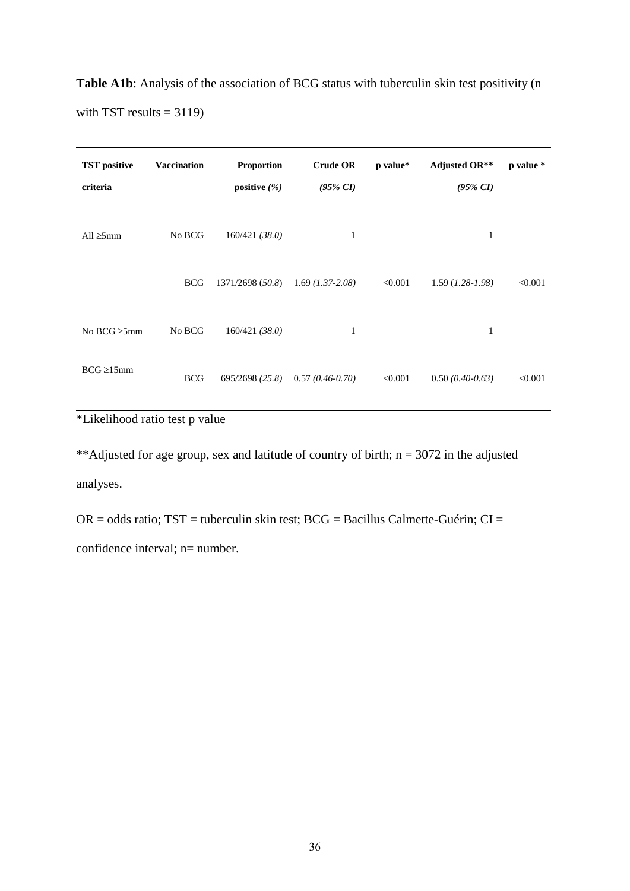Table A1b: Analysis of the association of BCG status with tuberculin skin test positivity (n with TST results  $= 3119$ )

| <b>TST</b> positive<br>criteria | <b>Vaccination</b> | <b>Proportion</b><br>positive $(\% )$ | <b>Crude OR</b><br>$(95\% \ CI)$ | p value* | <b>Adjusted OR**</b><br>$(95\% \ CI)$ | p value * |
|---------------------------------|--------------------|---------------------------------------|----------------------------------|----------|---------------------------------------|-----------|
| All $\geq 5$ mm                 | No BCG             | 160/421(38.0)                         | 1                                |          | 1                                     |           |
|                                 | <b>BCG</b>         | 1371/2698 (50.8)                      | $1.69$ (1.37-2.08)               | < 0.001  | $1.59$ (1.28-1.98)                    | < 0.001   |
| No BCG $\geq 5$ mm              | No BCG             | 160/421(38.0)                         | 1                                |          | $\mathbf{1}$                          |           |
| $BCG \geq 15$ mm                | <b>BCG</b>         | 695/2698 (25.8)                       | $0.57(0.46-0.70)$                | < 0.001  | $0.50(0.40-0.63)$                     | < 0.001   |

\*Likelihood ratio test p value

\*\*Adjusted for age group, sex and latitude of country of birth;  $n = 3072$  in the adjusted analyses.

 $OR = odds ratio$ ;  $TST = tuberculin skin test$ ;  $BCG = Bacillus Calmette-Guérin$ ;  $CI =$ confidence interval; n= number.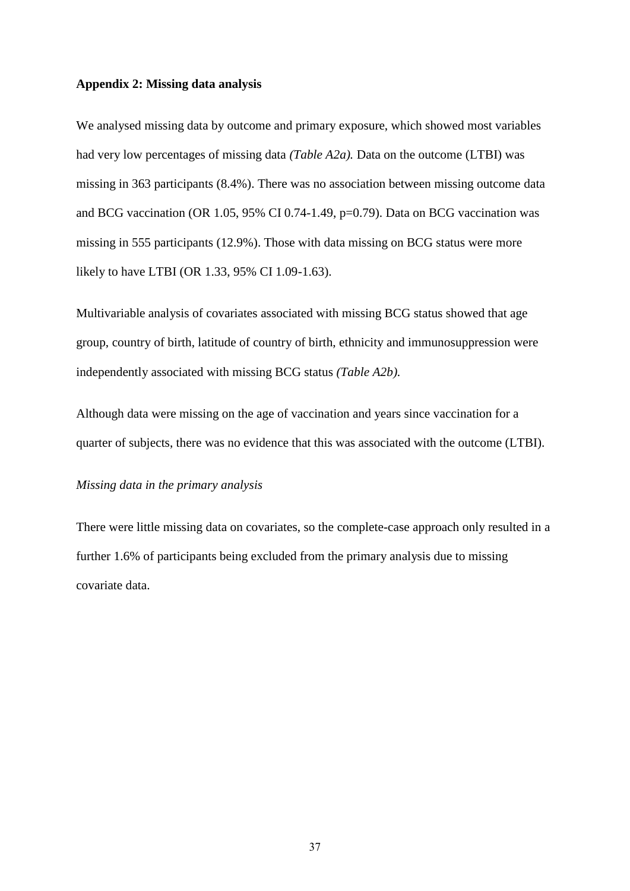#### **Appendix 2: Missing data analysis**

We analysed missing data by outcome and primary exposure, which showed most variables had very low percentages of missing data *(Table A2a).* Data on the outcome (LTBI) was missing in 363 participants (8.4%). There was no association between missing outcome data and BCG vaccination (OR 1.05, 95% CI 0.74-1.49, p=0.79). Data on BCG vaccination was missing in 555 participants (12.9%). Those with data missing on BCG status were more likely to have LTBI (OR 1.33, 95% CI 1.09-1.63).

Multivariable analysis of covariates associated with missing BCG status showed that age group, country of birth, latitude of country of birth, ethnicity and immunosuppression were independently associated with missing BCG status *(Table A2b).*

Although data were missing on the age of vaccination and years since vaccination for a quarter of subjects, there was no evidence that this was associated with the outcome (LTBI).

#### *Missing data in the primary analysis*

There were little missing data on covariates, so the complete-case approach only resulted in a further 1.6% of participants being excluded from the primary analysis due to missing covariate data.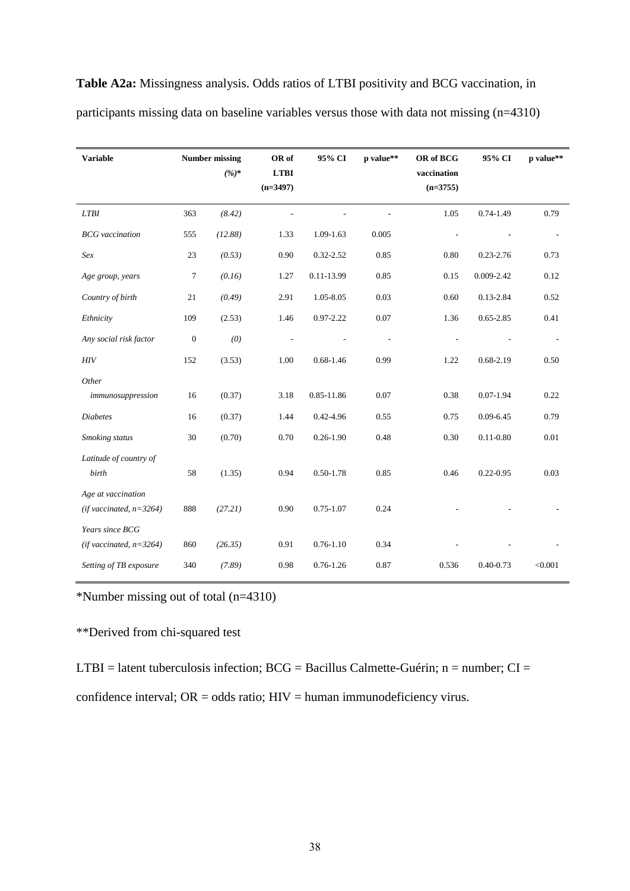| <b>Variable</b>                                  | <b>Number missing</b> |         | OR of<br>95% CI |               |           | OR of BCG   | 95% CI        | p value** |
|--------------------------------------------------|-----------------------|---------|-----------------|---------------|-----------|-------------|---------------|-----------|
|                                                  |                       | $(%)^*$ | <b>LTBI</b>     |               | p value** | vaccination |               |           |
|                                                  |                       |         | $(n=3497)$      |               |           | $(n=3755)$  |               |           |
| <b>LTBI</b>                                      | 363                   | (8.42)  |                 |               |           | 1.05        | $0.74 - 1.49$ | 0.79      |
| <b>BCG</b> vaccination                           | 555                   | (12.88) | 1.33            | 1.09-1.63     | 0.005     |             |               |           |
| Sex                                              | 23                    | (0.53)  | 0.90            | 0.32-2.52     | 0.85      | 0.80        | $0.23 - 2.76$ | 0.73      |
| Age group, years                                 | 7                     | (0.16)  | 1.27            | 0.11-13.99    | 0.85      | 0.15        | 0.009-2.42    | 0.12      |
| Country of birth                                 | 21                    | (0.49)  | 2.91            | 1.05-8.05     | 0.03      | 0.60        | $0.13 - 2.84$ | 0.52      |
| Ethnicity                                        | 109                   | (2.53)  | 1.46            | $0.97 - 2.22$ | 0.07      | 1.36        | $0.65 - 2.85$ | 0.41      |
| Any social risk factor                           | $\boldsymbol{0}$      | (0)     |                 |               |           |             |               |           |
| HIV                                              | 152                   | (3.53)  | 1.00            | $0.68 - 1.46$ | 0.99      | 1.22        | $0.68 - 2.19$ | 0.50      |
| Other                                            |                       |         |                 |               |           |             |               |           |
| immunosuppression                                | 16                    | (0.37)  | 3.18            | 0.85-11.86    | 0.07      | 0.38        | $0.07 - 1.94$ | 0.22      |
| <b>Diabetes</b>                                  | 16                    | (0.37)  | 1.44            | 0.42-4.96     | 0.55      | 0.75        | $0.09 - 6.45$ | 0.79      |
| Smoking status                                   | 30                    | (0.70)  | 0.70            | $0.26 - 1.90$ | 0.48      | 0.30        | $0.11 - 0.80$ | 0.01      |
| Latitude of country of<br>birth                  | 58                    | (1.35)  | 0.94            | $0.50 - 1.78$ | 0.85      | 0.46        | $0.22 - 0.95$ | 0.03      |
| Age at vaccination<br>(if vaccinated, $n=3264$ ) | 888                   | (27.21) | 0.90            | $0.75 - 1.07$ | 0.24      |             |               |           |
| Years since BCG<br>(if vaccinated, $n=3264$ )    | 860                   | (26.35) | 0.91            | $0.76 - 1.10$ | 0.34      |             |               |           |
| Setting of TB exposure                           | 340                   | (7.89)  | 0.98            | $0.76 - 1.26$ | 0.87      | 0.536       | $0.40 - 0.73$ | < 0.001   |

**Table A2a:** Missingness analysis. Odds ratios of LTBI positivity and BCG vaccination, in participants missing data on baseline variables versus those with data not missing (n=4310)

\*Number missing out of total (n=4310)

\*\*Derived from chi-squared test

LTBI = latent tuberculosis infection;  $BCG =$  Bacillus Calmette-Guérin; n = number;  $CI =$ 

confidence interval; OR = odds ratio; HIV = human immunodeficiency virus.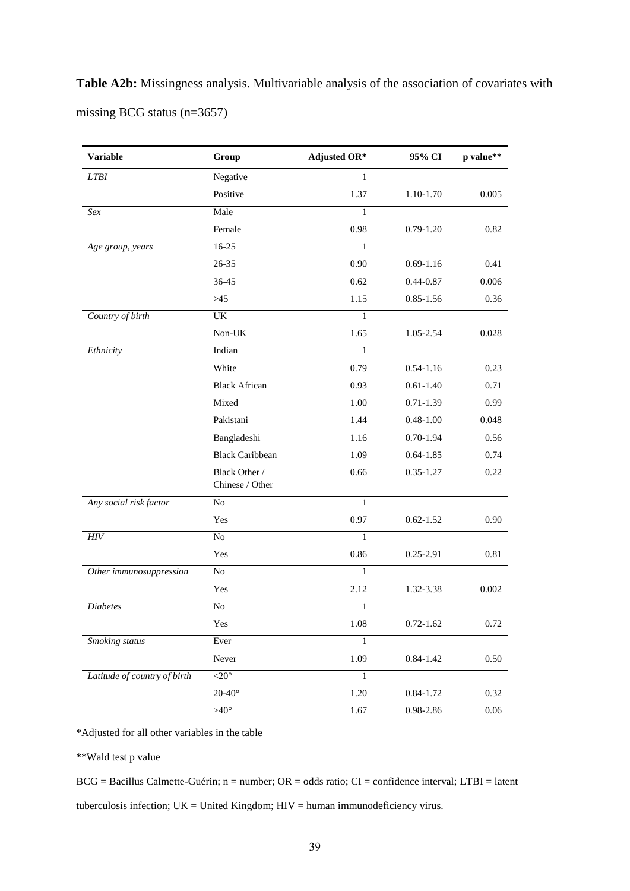**Table A2b:** Missingness analysis. Multivariable analysis of the association of covariates with missing BCG status (n=3657)

| <b>Variable</b>              | Group                            | <b>Adjusted OR*</b> | 95% CI        | p value** |
|------------------------------|----------------------------------|---------------------|---------------|-----------|
| <b>LTBI</b>                  | Negative                         | $\mathbf{1}$        |               |           |
|                              | Positive                         | 1.37                | 1.10-1.70     | 0.005     |
| Sex                          | Male                             | $\mathbf{1}$        |               |           |
|                              | Female                           | 0.98                | $0.79 - 1.20$ | 0.82      |
| Age group, years             | $16 - 25$                        | 1                   |               |           |
|                              | 26-35                            | 0.90                | $0.69 - 1.16$ | 0.41      |
|                              | 36-45                            | 0.62                | $0.44 - 0.87$ | 0.006     |
|                              | >45                              | 1.15                | $0.85 - 1.56$ | 0.36      |
| Country of birth             | UK                               | $\mathbf{1}$        |               |           |
|                              | Non-UK                           | 1.65                | 1.05-2.54     | 0.028     |
| Ethnicity                    | Indian                           | $\mathbf{1}$        |               |           |
|                              | White                            | 0.79                | $0.54 - 1.16$ | 0.23      |
|                              | <b>Black African</b>             | 0.93                | $0.61 - 1.40$ | 0.71      |
|                              | Mixed                            | 1.00                | $0.71 - 1.39$ | 0.99      |
|                              | Pakistani                        | 1.44                | $0.48 - 1.00$ | 0.048     |
|                              | Bangladeshi                      | 1.16                | $0.70 - 1.94$ | 0.56      |
|                              | <b>Black Caribbean</b>           | 1.09                | $0.64 - 1.85$ | 0.74      |
|                              | Black Other /<br>Chinese / Other | 0.66                | $0.35 - 1.27$ | 0.22      |
| Any social risk factor       | No                               | $\mathbf{1}$        |               |           |
|                              | Yes                              | 0.97                | $0.62 - 1.52$ | 0.90      |
| ${\it HIV}$                  | $\rm No$                         | $\mathbf{1}$        |               |           |
|                              | Yes                              | 0.86                | $0.25 - 2.91$ | 0.81      |
| Other immunosuppression      | $\rm No$                         | 1                   |               |           |
|                              | Yes                              | 2.12                | 1.32-3.38     | 0.002     |
| <b>Diabetes</b>              | No                               | $\mathbf{1}$        |               |           |
|                              | Yes                              | 1.08                | $0.72 - 1.62$ | 0.72      |
| Smoking status               | Ever                             | 1                   |               |           |
|                              | Never                            | 1.09                | $0.84 - 1.42$ | $0.50\,$  |
| Latitude of country of birth | $<$ 20 $^{\circ}$                | $\,1$               |               |           |
|                              | $20-40^\circ$                    | 1.20                | $0.84 - 1.72$ | 0.32      |
|                              | $>40^\circ$                      | 1.67                | 0.98-2.86     | $0.06\,$  |

\*Adjusted for all other variables in the table

\*\*Wald test p value

BCG = Bacillus Calmette-Guérin; n = number; OR = odds ratio; CI = confidence interval; LTBI = latent tuberculosis infection;  $UK = United Kingdom$ ;  $HIV = human immunodeficiency$  virus.